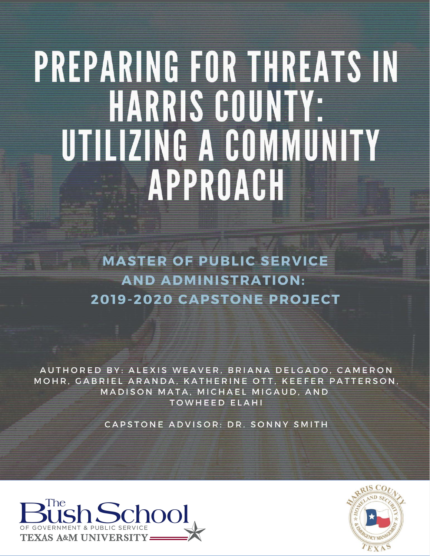# PREPARING FOR THREATS IN HARRIS COUNTY: UTILIZING A COMMUNITY APPROACH

**MASTER OF PUBLIC SERVICE AND ADMINISTRATION: 2019-2020 CAPSTONE PROJECT** 

AUTHORED BY: ALEXIS WEAVER, BRIANA DELGADO, CAMERON MOHR, GABRIEL ARANDA, KATHERINE OTT, KEEFER PATTERSON, MADISON MATA, MICHAEL MIGAUD, AND **TOWHEED ELAHI** 

CAPSTONE ADVISOR: DR. SONNY SMITH



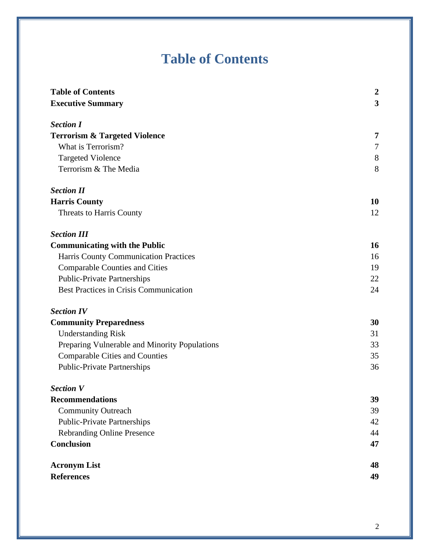# **Table of Contents**

<span id="page-1-1"></span><span id="page-1-0"></span>

| <b>Table of Contents</b>                      | $\boldsymbol{2}$ |
|-----------------------------------------------|------------------|
| <b>Executive Summary</b>                      | 3                |
| <b>Section I</b>                              |                  |
| <b>Terrorism &amp; Targeted Violence</b>      | 7                |
| What is Terrorism?                            | 7                |
| <b>Targeted Violence</b>                      | 8                |
| Terrorism & The Media                         | 8                |
| <b>Section II</b>                             |                  |
| <b>Harris County</b>                          | 10               |
| Threats to Harris County                      | 12               |
| <b>Section III</b>                            |                  |
| <b>Communicating with the Public</b>          | 16               |
| Harris County Communication Practices         | 16               |
| <b>Comparable Counties and Cities</b>         | 19               |
| <b>Public-Private Partnerships</b>            | 22               |
| <b>Best Practices in Crisis Communication</b> | 24               |
| <b>Section IV</b>                             |                  |
| <b>Community Preparedness</b>                 | 30               |
| <b>Understanding Risk</b>                     | 31               |
| Preparing Vulnerable and Minority Populations | 33               |
| <b>Comparable Cities and Counties</b>         | 35               |
| <b>Public-Private Partnerships</b>            | 36               |
| <b>Section V</b>                              |                  |
| <b>Recommendations</b>                        | 39               |
| <b>Community Outreach</b>                     | 39               |
| <b>Public-Private Partnerships</b>            | 42               |
| <b>Rebranding Online Presence</b>             | 44               |
| <b>Conclusion</b>                             | 47               |
| <b>Acronym List</b>                           | 48               |
| <b>References</b>                             | 49               |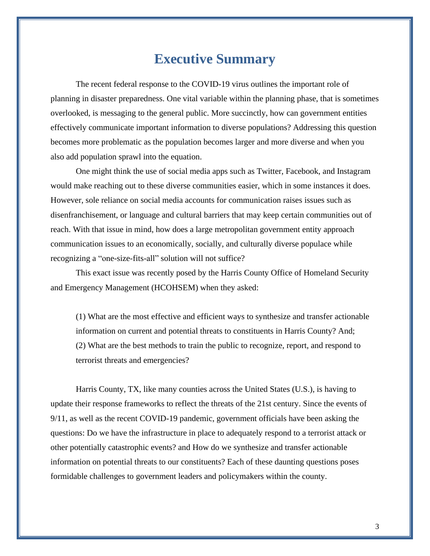## **Executive Summary**

The recent federal response to the COVID-19 virus outlines the important role of planning in disaster preparedness. One vital variable within the planning phase, that is sometimes overlooked, is messaging to the general public. More succinctly, how can government entities effectively communicate important information to diverse populations? Addressing this question becomes more problematic as the population becomes larger and more diverse and when you also add population sprawl into the equation.

One might think the use of social media apps such as Twitter, Facebook, and Instagram would make reaching out to these diverse communities easier, which in some instances it does. However, sole reliance on social media accounts for communication raises issues such as disenfranchisement, or language and cultural barriers that may keep certain communities out of reach. With that issue in mind, how does a large metropolitan government entity approach communication issues to an economically, socially, and culturally diverse populace while recognizing a "one-size-fits-all" solution will not suffice?

This exact issue was recently posed by the Harris County Office of Homeland Security and Emergency Management (HCOHSEM) when they asked:

(1) What are the most effective and efficient ways to synthesize and transfer actionable information on current and potential threats to constituents in Harris County? And; (2) What are the best methods to train the public to recognize, report, and respond to terrorist threats and emergencies?

Harris County, TX, like many counties across the United States (U.S.), is having to update their response frameworks to reflect the threats of the 21st century. Since the events of 9/11, as well as the recent COVID-19 pandemic, government officials have been asking the questions: Do we have the infrastructure in place to adequately respond to a terrorist attack or other potentially catastrophic events? and How do we synthesize and transfer actionable information on potential threats to our constituents? Each of these daunting questions poses formidable challenges to government leaders and policymakers within the county.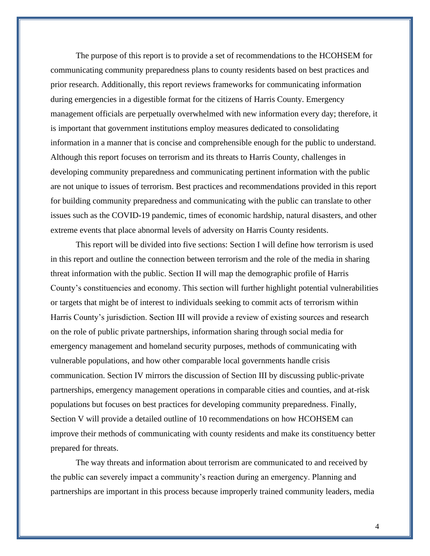The purpose of this report is to provide a set of recommendations to the HCOHSEM for communicating community preparedness plans to county residents based on best practices and prior research. Additionally, this report reviews frameworks for communicating information during emergencies in a digestible format for the citizens of Harris County. Emergency management officials are perpetually overwhelmed with new information every day; therefore, it is important that government institutions employ measures dedicated to consolidating information in a manner that is concise and comprehensible enough for the public to understand. Although this report focuses on terrorism and its threats to Harris County, challenges in developing community preparedness and communicating pertinent information with the public are not unique to issues of terrorism. Best practices and recommendations provided in this report for building community preparedness and communicating with the public can translate to other issues such as the COVID-19 pandemic, times of economic hardship, natural disasters, and other extreme events that place abnormal levels of adversity on Harris County residents.

This report will be divided into five sections: Section I will define how terrorism is used in this report and outline the connection between terrorism and the role of the media in sharing threat information with the public. Section II will map the demographic profile of Harris County's constituencies and economy. This section will further highlight potential vulnerabilities or targets that might be of interest to individuals seeking to commit acts of terrorism within Harris County's jurisdiction. Section III will provide a review of existing sources and research on the role of public private partnerships, information sharing through social media for emergency management and homeland security purposes, methods of communicating with vulnerable populations, and how other comparable local governments handle crisis communication. Section IV mirrors the discussion of Section III by discussing public-private partnerships, emergency management operations in comparable cities and counties, and at-risk populations but focuses on best practices for developing community preparedness. Finally, Section V will provide a detailed outline of 10 recommendations on how HCOHSEM can improve their methods of communicating with county residents and make its constituency better prepared for threats.

The way threats and information about terrorism are communicated to and received by the public can severely impact a community's reaction during an emergency. Planning and partnerships are important in this process because improperly trained community leaders, media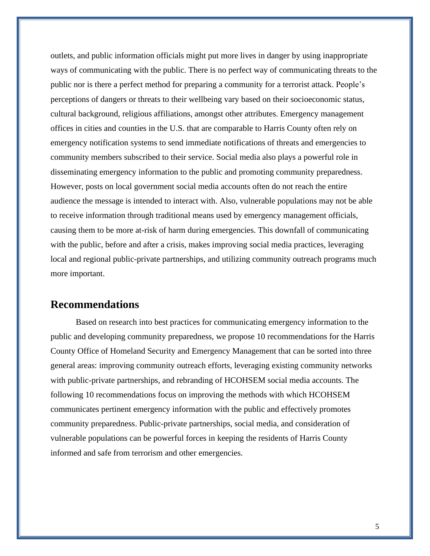outlets, and public information officials might put more lives in danger by using inappropriate ways of communicating with the public. There is no perfect way of communicating threats to the public nor is there a perfect method for preparing a community for a terrorist attack. People's perceptions of dangers or threats to their wellbeing vary based on their socioeconomic status, cultural background, religious affiliations, amongst other attributes. Emergency management offices in cities and counties in the U.S. that are comparable to Harris County often rely on emergency notification systems to send immediate notifications of threats and emergencies to community members subscribed to their service. Social media also plays a powerful role in disseminating emergency information to the public and promoting community preparedness. However, posts on local government social media accounts often do not reach the entire audience the message is intended to interact with. Also, vulnerable populations may not be able to receive information through traditional means used by emergency management officials, causing them to be more at-risk of harm during emergencies. This downfall of communicating with the public, before and after a crisis, makes improving social media practices, leveraging local and regional public-private partnerships, and utilizing community outreach programs much more important.

#### **Recommendations**

Based on research into best practices for communicating emergency information to the public and developing community preparedness, we propose 10 recommendations for the Harris County Office of Homeland Security and Emergency Management that can be sorted into three general areas: improving community outreach efforts, leveraging existing community networks with public-private partnerships, and rebranding of HCOHSEM social media accounts. The following 10 recommendations focus on improving the methods with which HCOHSEM communicates pertinent emergency information with the public and effectively promotes community preparedness. Public-private partnerships, social media, and consideration of vulnerable populations can be powerful forces in keeping the residents of Harris County informed and safe from terrorism and other emergencies.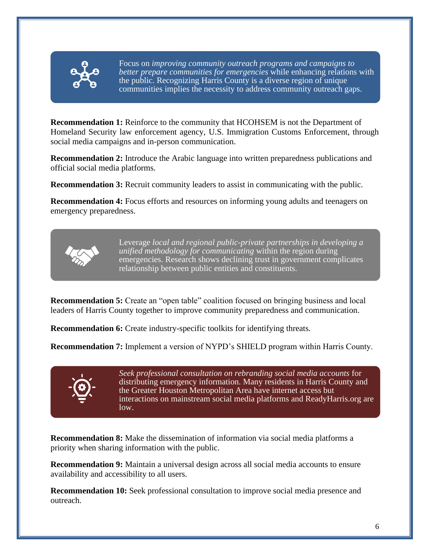

Focus on *improving community outreach programs and campaigns to better prepare communities for emergencies* while enhancing relations with the public. Recognizing Harris County is a diverse region of unique communities implies the necessity to address community outreach gaps.

**Recommendation 1:** Reinforce to the community that HCOHSEM is not the Department of Homeland Security law enforcement agency, U.S. Immigration Customs Enforcement, through social media campaigns and in-person communication.

**Recommendation 2:** Introduce the Arabic language into written preparedness publications and official social media platforms.

**Recommendation 3:** Recruit community leaders to assist in communicating with the public.

**Recommendation 4:** Focus efforts and resources on informing young adults and teenagers on emergency preparedness.



Leverage *local and regional public-private partnerships in developing a unified methodology for communicating* within the region during emergencies. Research shows declining trust in government complicates relationship between public entities and constituents.

**Recommendation 5:** Create an "open table" coalition focused on bringing business and local leaders of Harris County together to improve community preparedness and communication.

**Recommendation 6:** Create industry-specific toolkits for identifying threats.

**Recommendation 7:** Implement a version of NYPD's SHIELD program within Harris County.



*Seek professional consultation on rebranding social media accounts* for distributing emergency information. Many residents in Harris County and the Greater Houston Metropolitan Area have internet access but interactions on mainstream social media platforms and ReadyHarris.org are low.

**Recommendation 8:** Make the dissemination of information via social media platforms a priority when sharing information with the public.

**Recommendation 9:** Maintain a universal design across all social media accounts to ensure availability and accessibility to all users.

**Recommendation 10:** Seek professional consultation to improve social media presence and outreach.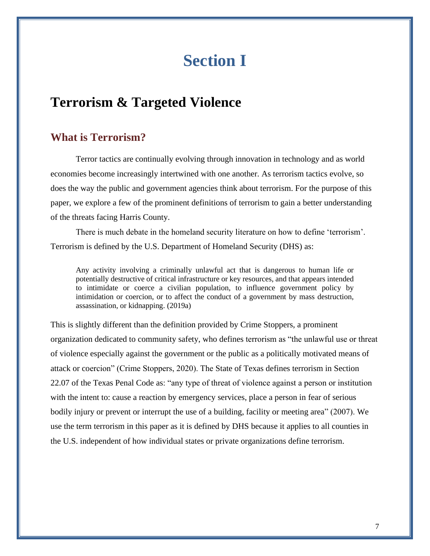# **Section I**

# <span id="page-6-1"></span><span id="page-6-0"></span>**Terrorism & Targeted Violence**

#### <span id="page-6-2"></span>**What is Terrorism?**

Terror tactics are continually evolving through innovation in technology and as world economies become increasingly intertwined with one another. As terrorism tactics evolve, so does the way the public and government agencies think about terrorism. For the purpose of this paper, we explore a few of the prominent definitions of terrorism to gain a better understanding of the threats facing Harris County.

There is much debate in the homeland security literature on how to define 'terrorism'. Terrorism is defined by the U.S. Department of Homeland Security (DHS) as:

Any activity involving a criminally unlawful act that is dangerous to human life or potentially destructive of critical infrastructure or key resources, and that appears intended to intimidate or coerce a civilian population, to influence government policy by intimidation or coercion, or to affect the conduct of a government by mass destruction, assassination, or kidnapping. (2019a)

This is slightly different than the definition provided by Crime Stoppers, a prominent organization dedicated to community safety, who defines terrorism as "the unlawful use or threat of violence especially against the government or the public as a politically motivated means of attack or coercion" (Crime Stoppers, 2020). The State of Texas defines terrorism in Section 22.07 of the Texas Penal Code as: "any type of threat of violence against a person or institution with the intent to: cause a reaction by emergency services, place a person in fear of serious bodily injury or prevent or interrupt the use of a building, facility or meeting area" (2007). We use the term terrorism in this paper as it is defined by DHS because it applies to all counties in the U.S. independent of how individual states or private organizations define terrorism.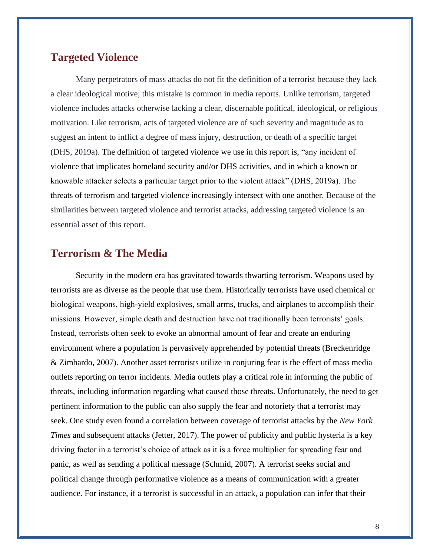#### <span id="page-7-0"></span>**Targeted Violence**

Many perpetrators of mass attacks do not fit the definition of a terrorist because they lack a clear ideological motive; this mistake is common in media reports. Unlike terrorism, targeted violence includes attacks otherwise lacking a clear, discernable political, ideological, or religious motivation. Like terrorism, acts of targeted violence are of such severity and magnitude as to suggest an intent to inflict a degree of mass injury, destruction, or death of a specific target (DHS, 2019a). The definition of targeted violence we use in this report is, "any incident of violence that implicates homeland security and/or DHS activities, and in which a known or knowable attacker selects a particular target prior to the violent attack" (DHS, 2019a). The threats of terrorism and targeted violence increasingly intersect with one another. Because of the similarities between targeted violence and terrorist attacks, addressing targeted violence is an essential asset of this report.

#### <span id="page-7-1"></span>**Terrorism & The Media**

Security in the modern era has gravitated towards thwarting terrorism. Weapons used by terrorists are as diverse as the people that use them. Historically terrorists have used chemical or biological weapons, high-yield explosives, small arms, trucks, and airplanes to accomplish their missions. However, simple death and destruction have not traditionally been terrorists' goals. Instead, terrorists often seek to evoke an abnormal amount of fear and create an enduring environment where a population is pervasively apprehended by potential threats (Breckenridge & Zimbardo, 2007). Another asset terrorists utilize in conjuring fear is the effect of mass media outlets reporting on terror incidents. Media outlets play a critical role in informing the public of threats, including information regarding what caused those threats. Unfortunately, the need to get pertinent information to the public can also supply the fear and notoriety that a terrorist may seek. One study even found a correlation between coverage of terrorist attacks by the *New York Times* and subsequent attacks (Jetter, 2017). The power of publicity and public hysteria is a key driving factor in a terrorist's choice of attack as it is a force multiplier for spreading fear and panic, as well as sending a political message (Schmid, 2007). A terrorist seeks social and political change through performative violence as a means of communication with a greater audience. For instance, if a terrorist is successful in an attack, a population can infer that their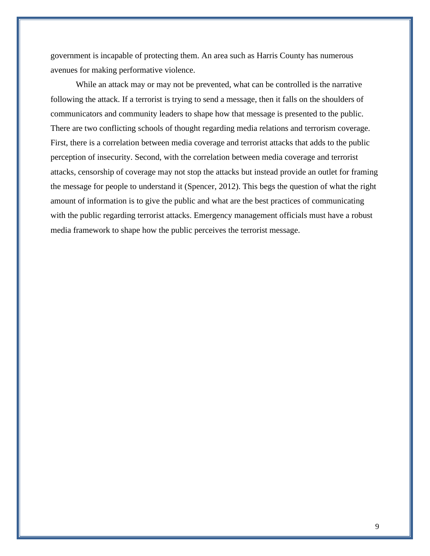government is incapable of protecting them. An area such as Harris County has numerous avenues for making performative violence.

While an attack may or may not be prevented, what can be controlled is the narrative following the attack. If a terrorist is trying to send a message, then it falls on the shoulders of communicators and community leaders to shape how that message is presented to the public. There are two conflicting schools of thought regarding media relations and terrorism coverage. First, there is a correlation between media coverage and terrorist attacks that adds to the public perception of insecurity. Second, with the correlation between media coverage and terrorist attacks, censorship of coverage may not stop the attacks but instead provide an outlet for framing the message for people to understand it (Spencer, 2012). This begs the question of what the right amount of information is to give the public and what are the best practices of communicating with the public regarding terrorist attacks. Emergency management officials must have a robust media framework to shape how the public perceives the terrorist message.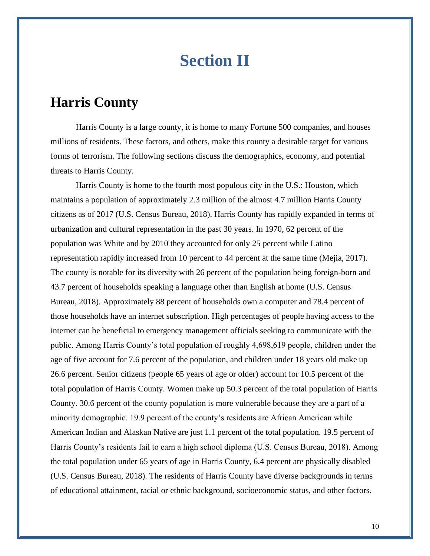# **Section II**

## <span id="page-9-1"></span><span id="page-9-0"></span>**Harris County**

Harris County is a large county, it is home to many Fortune 500 companies, and houses millions of residents. These factors, and others, make this county a desirable target for various forms of terrorism. The following sections discuss the demographics, economy, and potential threats to Harris County.

Harris County is home to the fourth most populous city in the U.S.: Houston, which maintains a population of approximately 2.3 million of the almost 4.7 million Harris County citizens as of 2017 (U.S. Census Bureau, 2018). Harris County has rapidly expanded in terms of urbanization and cultural representation in the past 30 years. In 1970, 62 percent of the population was White and by 2010 they accounted for only 25 percent while Latino representation rapidly increased from 10 percent to 44 percent at the same time (Mejia, 2017). The county is notable for its diversity with 26 percent of the population being foreign-born and 43.7 percent of households speaking a language other than English at home (U.S. Census Bureau, 2018). Approximately 88 percent of households own a computer and 78.4 percent of those households have an internet subscription. High percentages of people having access to the internet can be beneficial to emergency management officials seeking to communicate with the public. Among Harris County's total population of roughly 4,698,619 people, children under the age of five account for 7.6 percent of the population, and children under 18 years old make up 26.6 percent. Senior citizens (people 65 years of age or older) account for 10.5 percent of the total population of Harris County. Women make up 50.3 percent of the total population of Harris County. 30.6 percent of the county population is more vulnerable because they are a part of a minority demographic. 19.9 percent of the county's residents are African American while American Indian and Alaskan Native are just 1.1 percent of the total population. 19.5 percent of Harris County's residents fail to earn a high school diploma (U.S. Census Bureau, 2018). Among the total population under 65 years of age in Harris County, 6.4 percent are physically disabled (U.S. Census Bureau, 2018). The residents of Harris County have diverse backgrounds in terms of educational attainment, racial or ethnic background, socioeconomic status, and other factors.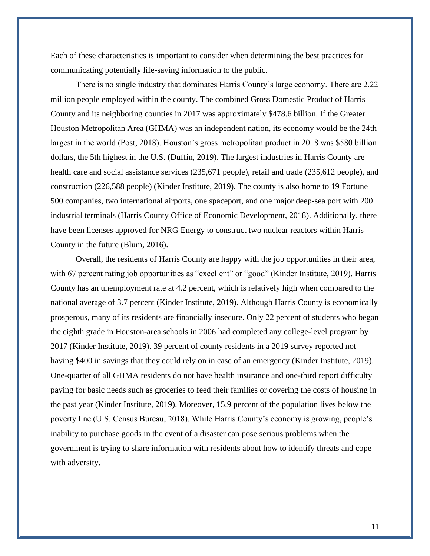Each of these characteristics is important to consider when determining the best practices for communicating potentially life-saving information to the public.

There is no single industry that dominates Harris County's large economy. There are 2.22 million people employed within the county. The combined Gross Domestic Product of Harris County and its neighboring counties in 2017 was approximately \$478.6 billion. If the Greater Houston Metropolitan Area (GHMA) was an independent nation, its economy would be the 24th largest in the world (Post, 2018). Houston's gross metropolitan product in 2018 was \$580 billion dollars, the 5th highest in the U.S. (Duffin, 2019). The largest industries in Harris County are health care and social assistance services (235,671 people), retail and trade (235,612 people), and construction (226,588 people) (Kinder Institute, 2019). The county is also home to 19 Fortune 500 companies, two international airports, one spaceport, and one major deep-sea port with 200 industrial terminals (Harris County Office of Economic Development, 2018). Additionally, there have been licenses approved for NRG Energy to construct two nuclear reactors within Harris County in the future (Blum, 2016).

Overall, the residents of Harris County are happy with the job opportunities in their area, with 67 percent rating job opportunities as "excellent" or "good" (Kinder Institute, 2019). Harris County has an unemployment rate at 4.2 percent, which is relatively high when compared to the national average of 3.7 percent (Kinder Institute, 2019). Although Harris County is economically prosperous, many of its residents are financially insecure. Only 22 percent of students who began the eighth grade in Houston-area schools in 2006 had completed any college-level program by 2017 (Kinder Institute, 2019). 39 percent of county residents in a 2019 survey reported not having \$400 in savings that they could rely on in case of an emergency (Kinder Institute, 2019). One-quarter of all GHMA residents do not have health insurance and one-third report difficulty paying for basic needs such as groceries to feed their families or covering the costs of housing in the past year (Kinder Institute, 2019). Moreover, 15.9 percent of the population lives below the poverty line (U.S. Census Bureau, 2018). While Harris County's economy is growing, people's inability to purchase goods in the event of a disaster can pose serious problems when the government is trying to share information with residents about how to identify threats and cope with adversity.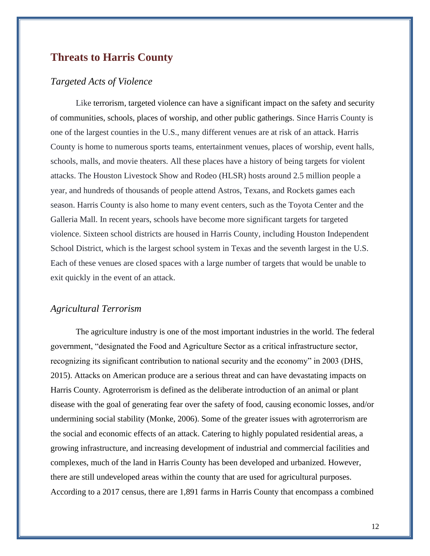#### <span id="page-11-0"></span>**Threats to Harris County**

#### *Targeted Acts of Violence*

Like terrorism, targeted violence can have a significant impact on the safety and security of communities, schools, places of worship, and other public gatherings. Since Harris County is one of the largest counties in the U.S., many different venues are at risk of an attack. Harris County is home to numerous sports teams, entertainment venues, places of worship, event halls, schools, malls, and movie theaters. All these places have a history of being targets for violent attacks. The Houston Livestock Show and Rodeo (HLSR) hosts around 2.5 million people a year, and hundreds of thousands of people attend Astros, Texans, and Rockets games each season. Harris County is also home to many event centers, such as the Toyota Center and the Galleria Mall. In recent years, schools have become more significant targets for targeted violence. Sixteen school districts are housed in Harris County, including Houston Independent School District, which is the largest school system in Texas and the seventh largest in the U.S. Each of these venues are closed spaces with a large number of targets that would be unable to exit quickly in the event of an attack.

#### *Agricultural Terrorism*

The agriculture industry is one of the most important industries in the world. The federal government, "designated the Food and Agriculture Sector as a critical infrastructure sector, recognizing its significant contribution to national security and the economy" in 2003 (DHS, 2015). Attacks on American produce are a serious threat and can have devastating impacts on Harris County. Agroterrorism is defined as the deliberate introduction of an animal or plant disease with the goal of generating fear over the safety of food, causing economic losses, and/or undermining social stability (Monke, 2006). Some of the greater issues with agroterrorism are the social and economic effects of an attack. Catering to highly populated residential areas, a growing infrastructure, and increasing development of industrial and commercial facilities and complexes, much of the land in Harris County has been developed and urbanized. However, there are still undeveloped areas within the county that are used for agricultural purposes. According to a 2017 census, there are 1,891 farms in Harris County that encompass a combined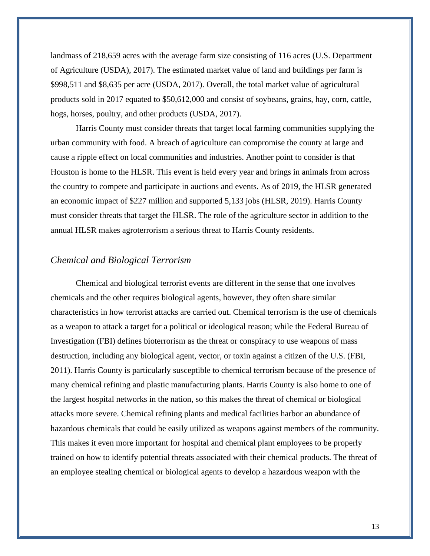landmass of 218,659 acres with the average farm size consisting of 116 acres (U.S. Department of Agriculture (USDA), 2017). The estimated market value of land and buildings per farm is \$998,511 and \$8,635 per acre (USDA, 2017). Overall, the total market value of agricultural products sold in 2017 equated to \$50,612,000 and consist of soybeans, grains, hay, corn, cattle, hogs, horses, poultry, and other products (USDA, 2017).

Harris County must consider threats that target local farming communities supplying the urban community with food. A breach of agriculture can compromise the county at large and cause a ripple effect on local communities and industries. Another point to consider is that Houston is home to the HLSR. This event is held every year and brings in animals from across the country to compete and participate in auctions and events. As of 2019, the HLSR generated an economic impact of \$227 million and supported 5,133 jobs (HLSR, 2019). Harris County must consider threats that target the HLSR. The role of the agriculture sector in addition to the annual HLSR makes agroterrorism a serious threat to Harris County residents.

#### *Chemical and Biological Terrorism*

Chemical and biological terrorist events are different in the sense that one involves chemicals and the other requires biological agents, however, they often share similar characteristics in how terrorist attacks are carried out. Chemical terrorism is the use of chemicals as a weapon to attack a target for a political or ideological reason; while the Federal Bureau of Investigation (FBI) defines bioterrorism as the threat or conspiracy to use weapons of mass destruction, including any biological agent, vector, or toxin against a citizen of the U.S. (FBI, 2011). Harris County is particularly susceptible to chemical terrorism because of the presence of many chemical refining and plastic manufacturing plants. Harris County is also home to one of the largest hospital networks in the nation, so this makes the threat of chemical or biological attacks more severe. Chemical refining plants and medical facilities harbor an abundance of hazardous chemicals that could be easily utilized as weapons against members of the community. This makes it even more important for hospital and chemical plant employees to be properly trained on how to identify potential threats associated with their chemical products. The threat of an employee stealing chemical or biological agents to develop a hazardous weapon with the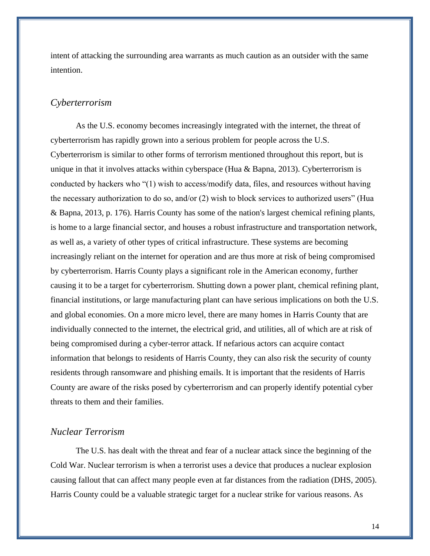intent of attacking the surrounding area warrants as much caution as an outsider with the same intention.

#### *Cyberterrorism*

As the U.S. economy becomes increasingly integrated with the internet, the threat of cyberterrorism has rapidly grown into a serious problem for people across the U.S. Cyberterrorism is similar to other forms of terrorism mentioned throughout this report, but is unique in that it involves attacks within cyberspace (Hua  $\&$  Bapna, 2013). Cyberterrorism is conducted by hackers who "(1) wish to access/modify data, files, and resources without having the necessary authorization to do so, and/or (2) wish to block services to authorized users" (Hua & Bapna, 2013, p. 176). Harris County has some of the nation's largest chemical refining plants, is home to a large financial sector, and houses a robust infrastructure and transportation network, as well as, a variety of other types of critical infrastructure. These systems are becoming increasingly reliant on the internet for operation and are thus more at risk of being compromised by cyberterrorism. Harris County plays a significant role in the American economy, further causing it to be a target for cyberterrorism. Shutting down a power plant, chemical refining plant, financial institutions, or large manufacturing plant can have serious implications on both the U.S. and global economies. On a more micro level, there are many homes in Harris County that are individually connected to the internet, the electrical grid, and utilities, all of which are at risk of being compromised during a cyber-terror attack. If nefarious actors can acquire contact information that belongs to residents of Harris County, they can also risk the security of county residents through ransomware and phishing emails. It is important that the residents of Harris County are aware of the risks posed by cyberterrorism and can properly identify potential cyber threats to them and their families.

#### *Nuclear Terrorism*

The U.S. has dealt with the threat and fear of a nuclear attack since the beginning of the Cold War. Nuclear terrorism is when a terrorist uses a device that produces a nuclear explosion causing fallout that can affect many people even at far distances from the radiation (DHS, 2005). Harris County could be a valuable strategic target for a nuclear strike for various reasons. As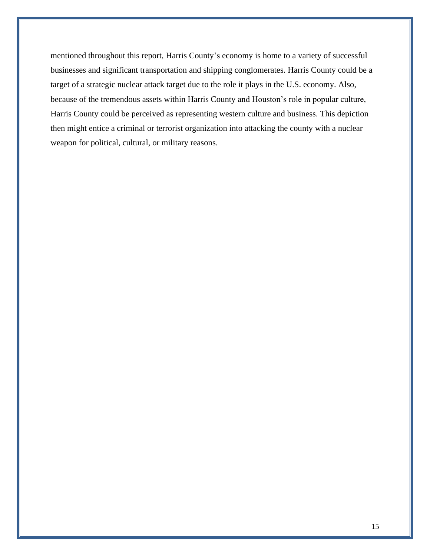mentioned throughout this report, Harris County's economy is home to a variety of successful businesses and significant transportation and shipping conglomerates. Harris County could be a target of a strategic nuclear attack target due to the role it plays in the U.S. economy. Also, because of the tremendous assets within Harris County and Houston's role in popular culture, Harris County could be perceived as representing western culture and business. This depiction then might entice a criminal or terrorist organization into attacking the county with a nuclear weapon for political, cultural, or military reasons.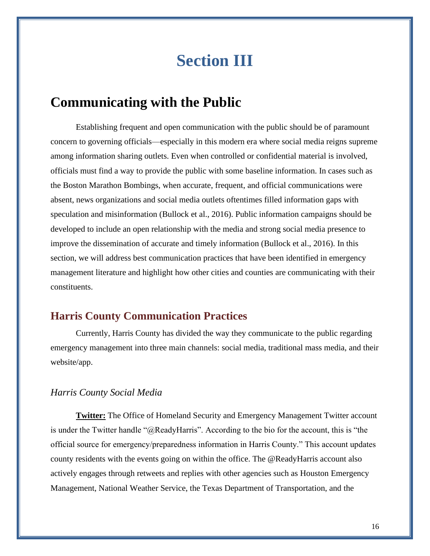# **Section III**

## <span id="page-15-1"></span><span id="page-15-0"></span>**Communicating with the Public**

Establishing frequent and open communication with the public should be of paramount concern to governing officials—especially in this modern era where social media reigns supreme among information sharing outlets. Even when controlled or confidential material is involved, officials must find a way to provide the public with some baseline information. In cases such as the Boston Marathon Bombings, when accurate, frequent, and official communications were absent, news organizations and social media outlets oftentimes filled information gaps with speculation and misinformation (Bullock et al., 2016). Public information campaigns should be developed to include an open relationship with the media and strong social media presence to improve the dissemination of accurate and timely information (Bullock et al., 2016). In this section, we will address best communication practices that have been identified in emergency management literature and highlight how other cities and counties are communicating with their constituents.

#### <span id="page-15-2"></span>**Harris County Communication Practices**

Currently, Harris County has divided the way they communicate to the public regarding emergency management into three main channels: social media, traditional mass media, and their website/app.

#### *Harris County Social Media*

**Twitter:** The Office of Homeland Security and Emergency Management Twitter account is under the Twitter handle "@ReadyHarris". According to the bio for the account, this is "the official source for emergency/preparedness information in Harris County." This account updates county residents with the events going on within the office. The @ReadyHarris account also actively engages through retweets and replies with other agencies such as Houston Emergency Management, National Weather Service, the Texas Department of Transportation, and the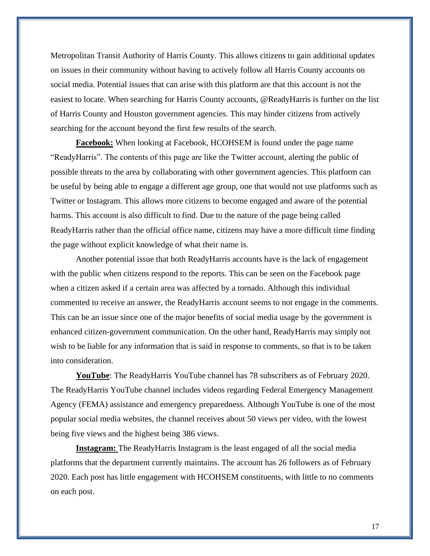Metropolitan Transit Authority of Harris County. This allows citizens to gain additional updates on issues in their community without having to actively follow all Harris County accounts on social media. Potential issues that can arise with this platform are that this account is not the easiest to locate. When searching for Harris County accounts, @ReadyHarris is further on the list of Harris County and Houston government agencies. This may hinder citizens from actively searching for the account beyond the first few results of the search.

**Facebook:** When looking at Facebook, HCOHSEM is found under the page name "ReadyHarris". The contents of this page are like the Twitter account, alerting the public of possible threats to the area by collaborating with other government agencies. This platform can be useful by being able to engage a different age group, one that would not use platforms such as Twitter or Instagram. This allows more citizens to become engaged and aware of the potential harms. This account is also difficult to find. Due to the nature of the page being called ReadyHarris rather than the official office name, citizens may have a more difficult time finding the page without explicit knowledge of what their name is.

Another potential issue that both ReadyHarris accounts have is the lack of engagement with the public when citizens respond to the reports. This can be seen on the Facebook page when a citizen asked if a certain area was affected by a tornado. Although this individual commented to receive an answer, the ReadyHarris account seems to not engage in the comments. This can be an issue since one of the major benefits of social media usage by the government is enhanced citizen-government communication. On the other hand, ReadyHarris may simply not wish to be liable for any information that is said in response to comments, so that is to be taken into consideration.

**YouTube**: The ReadyHarris YouTube channel has 78 subscribers as of February 2020. The ReadyHarris YouTube channel includes videos regarding Federal Emergency Management Agency (FEMA) assistance and emergency preparedness. Although YouTube is one of the most popular social media websites, the channel receives about 50 views per video, with the lowest being five views and the highest being 386 views.

**Instagram:** The ReadyHarris Instagram is the least engaged of all the social media platforms that the department currently maintains. The account has 26 followers as of February 2020. Each post has little engagement with HCOHSEM constituents, with little to no comments on each post.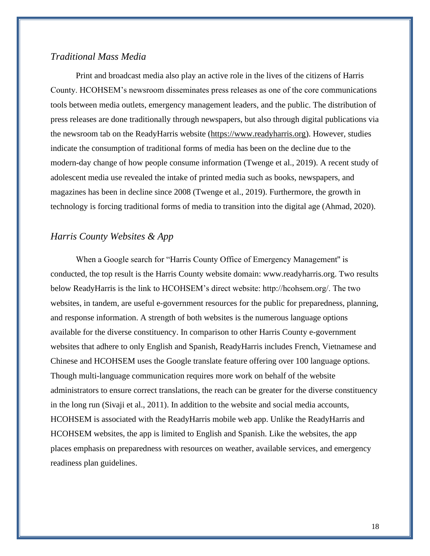#### *Traditional Mass Media*

Print and broadcast media also play an active role in the lives of the citizens of Harris County. HCOHSEM's newsroom disseminates press releases as one of the core communications tools between media outlets, emergency management leaders, and the public. The distribution of press releases are done traditionally through newspapers, but also through digital publications via the newsroom tab on the ReadyHarris website [\(https://www.readyharris.org\)](https://www.readyharris.org/). However, studies indicate the consumption of traditional forms of media has been on the decline due to the modern-day change of how people consume information (Twenge et al., 2019). A recent study of adolescent media use revealed the intake of printed media such as books, newspapers, and magazines has been in decline since 2008 (Twenge et al., 2019). Furthermore, the growth in technology is forcing traditional forms of media to transition into the digital age (Ahmad, 2020).

#### *Harris County Websites & App*

When a Google search for "Harris County Office of Emergency Management'' is conducted, the top result is the Harris County website domain: www.readyharris.org. Two results below ReadyHarris is the link to HCOHSEM's direct website: http://hcohsem.org/. The two websites, in tandem, are useful e-government resources for the public for preparedness, planning, and response information. A strength of both websites is the numerous language options available for the diverse constituency. In comparison to other Harris County e-government websites that adhere to only English and Spanish, ReadyHarris includes French, Vietnamese and Chinese and HCOHSEM uses the Google translate feature offering over 100 language options. Though multi-language communication requires more work on behalf of the website administrators to ensure correct translations, the reach can be greater for the diverse constituency in the long run (Sivaji et al., 2011). In addition to the website and social media accounts, HCOHSEM is associated with the ReadyHarris mobile web app. Unlike the ReadyHarris and HCOHSEM websites, the app is limited to English and Spanish. Like the websites, the app places emphasis on preparedness with resources on weather, available services, and emergency readiness plan guidelines.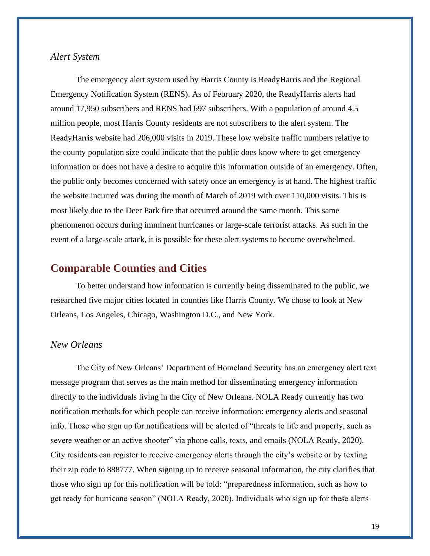#### *Alert System*

The emergency alert system used by Harris County is ReadyHarris and the Regional Emergency Notification System (RENS). As of February 2020, the ReadyHarris alerts had around 17,950 subscribers and RENS had 697 subscribers. With a population of around 4.5 million people, most Harris County residents are not subscribers to the alert system. The ReadyHarris website had 206,000 visits in 2019. These low website traffic numbers relative to the county population size could indicate that the public does know where to get emergency information or does not have a desire to acquire this information outside of an emergency. Often, the public only becomes concerned with safety once an emergency is at hand. The highest traffic the website incurred was during the month of March of 2019 with over 110,000 visits. This is most likely due to the Deer Park fire that occurred around the same month. This same phenomenon occurs during imminent hurricanes or large-scale terrorist attacks. As such in the event of a large-scale attack, it is possible for these alert systems to become overwhelmed.

#### <span id="page-18-0"></span>**Comparable Counties and Cities**

To better understand how information is currently being disseminated to the public, we researched five major cities located in counties like Harris County. We chose to look at New Orleans, Los Angeles, Chicago, Washington D.C., and New York.

#### *New Orleans*

The City of New Orleans' Department of Homeland Security has an emergency alert text message program that serves as the main method for disseminating emergency information directly to the individuals living in the City of New Orleans. NOLA Ready currently has two notification methods for which people can receive information: emergency alerts and seasonal info. Those who sign up for notifications will be alerted of "threats to life and property, such as severe weather or an active shooter" via phone calls, texts, and emails (NOLA Ready, 2020). City residents can register to receive emergency alerts through the city's website or by texting their zip code to 888777. When signing up to receive seasonal information, the city clarifies that those who sign up for this notification will be told: "preparedness information, such as how to get ready for hurricane season" (NOLA Ready, 2020). Individuals who sign up for these alerts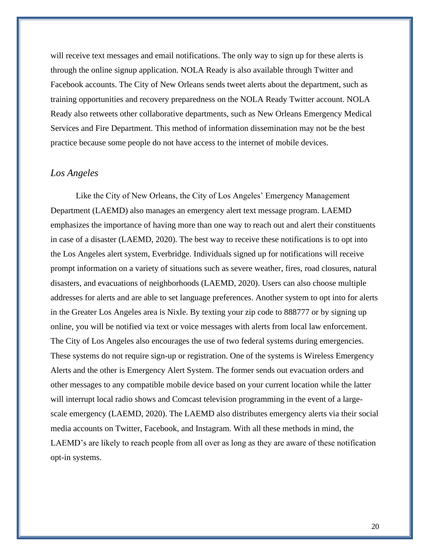will receive text messages and email notifications. The only way to sign up for these alerts is through the online signup application. NOLA Ready is also available through Twitter and Facebook accounts. The City of New Orleans sends tweet alerts about the department, such as training opportunities and recovery preparedness on the NOLA Ready Twitter account. NOLA Ready also retweets other collaborative departments, such as New Orleans Emergency Medical Services and Fire Department. This method of information dissemination may not be the best practice because some people do not have access to the internet of mobile devices.

#### *Los Angeles*

Like the City of New Orleans, the City of Los Angeles' Emergency Management Department (LAEMD) also manages an emergency alert text message program. LAEMD emphasizes the importance of having more than one way to reach out and alert their constituents in case of a disaster (LAEMD, 2020). The best way to receive these notifications is to opt into the Los Angeles alert system, Everbridge. Individuals signed up for notifications will receive prompt information on a variety of situations such as severe weather, fires, road closures, natural disasters, and evacuations of neighborhoods (LAEMD, 2020). Users can also choose multiple addresses for alerts and are able to set language preferences. Another system to opt into for alerts in the Greater Los Angeles area is Nixle. By texting your zip code to 888777 or by signing up online, you will be notified via text or voice messages with alerts from local law enforcement. The City of Los Angeles also encourages the use of two federal systems during emergencies. These systems do not require sign-up or registration. One of the systems is Wireless Emergency Alerts and the other is Emergency Alert System. The former sends out evacuation orders and other messages to any compatible mobile device based on your current location while the latter will interrupt local radio shows and Comcast television programming in the event of a largescale emergency (LAEMD, 2020). The LAEMD also distributes emergency alerts via their social media accounts on Twitter, Facebook, and Instagram. With all these methods in mind, the LAEMD's are likely to reach people from all over as long as they are aware of these notification opt-in systems.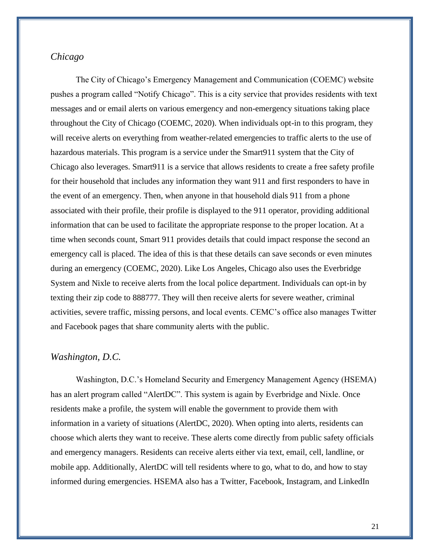#### *Chicago*

The City of Chicago's Emergency Management and Communication (COEMC) website pushes a program called "Notify Chicago". This is a city service that provides residents with text messages and or email alerts on various emergency and non-emergency situations taking place throughout the City of Chicago (COEMC, 2020). When individuals opt-in to this program, they will receive alerts on everything from weather-related emergencies to traffic alerts to the use of hazardous materials. This program is a service under the Smart911 system that the City of Chicago also leverages. Smart911 is a service that allows residents to create a free safety profile for their household that includes any information they want 911 and first responders to have in the event of an emergency. Then, when anyone in that household dials 911 from a phone associated with their profile, their profile is displayed to the 911 operator, providing additional information that can be used to facilitate the appropriate response to the proper location. At a time when seconds count, Smart 911 provides details that could impact response the second an emergency call is placed. The idea of this is that these details can save seconds or even minutes during an emergency (COEMC, 2020). Like Los Angeles, Chicago also uses the Everbridge System and Nixle to receive alerts from the local police department. Individuals can opt-in by texting their zip code to 888777. They will then receive alerts for severe weather, criminal activities, severe traffic, missing persons, and local events. CEMC's office also manages Twitter and Facebook pages that share community alerts with the public.

#### *Washington, D.C.*

Washington, D.C.'s Homeland Security and Emergency Management Agency (HSEMA) has an alert program called "AlertDC". This system is again by Everbridge and Nixle. Once residents make a profile, the system will enable the government to provide them with information in a variety of situations (AlertDC, 2020). When opting into alerts, residents can choose which alerts they want to receive. These alerts come directly from public safety officials and emergency managers. Residents can receive alerts either via text, email, cell, landline, or mobile app. Additionally, AlertDC will tell residents where to go, what to do, and how to stay informed during emergencies. HSEMA also has a Twitter, Facebook, Instagram, and LinkedIn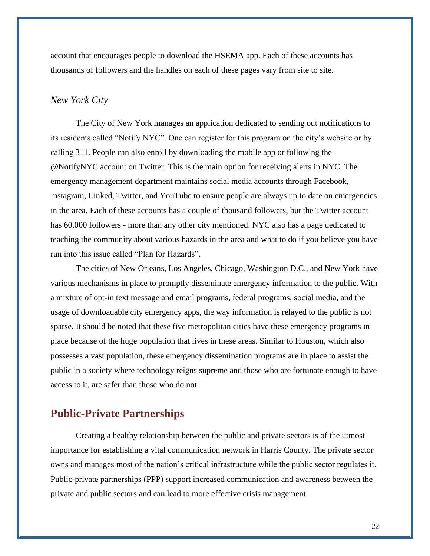account that encourages people to download the HSEMA app. Each of these accounts has thousands of followers and the handles on each of these pages vary from site to site.

#### *New York City*

The City of New York manages an application dedicated to sending out notifications to its residents called "Notify NYC". One can register for this program on the city's website or by calling 311. People can also enroll by downloading the mobile app or following the @NotifyNYC account on Twitter. This is the main option for receiving alerts in NYC. The emergency management department maintains social media accounts through Facebook, Instagram, Linked, Twitter, and YouTube to ensure people are always up to date on emergencies in the area. Each of these accounts has a couple of thousand followers, but the Twitter account has 60,000 followers - more than any other city mentioned. NYC also has a page dedicated to teaching the community about various hazards in the area and what to do if you believe you have run into this issue called "Plan for Hazards".

The cities of New Orleans, Los Angeles, Chicago, Washington D.C., and New York have various mechanisms in place to promptly disseminate emergency information to the public. With a mixture of opt-in text message and email programs, federal programs, social media, and the usage of downloadable city emergency apps, the way information is relayed to the public is not sparse. It should be noted that these five metropolitan cities have these emergency programs in place because of the huge population that lives in these areas. Similar to Houston, which also possesses a vast population, these emergency dissemination programs are in place to assist the public in a society where technology reigns supreme and those who are fortunate enough to have access to it, are safer than those who do not.

#### <span id="page-21-0"></span>**Public-Private Partnerships**

Creating a healthy relationship between the public and private sectors is of the utmost importance for establishing a vital communication network in Harris County. The private sector owns and manages most of the nation's critical infrastructure while the public sector regulates it. Public-private partnerships (PPP) support increased communication and awareness between the private and public sectors and can lead to more effective crisis management.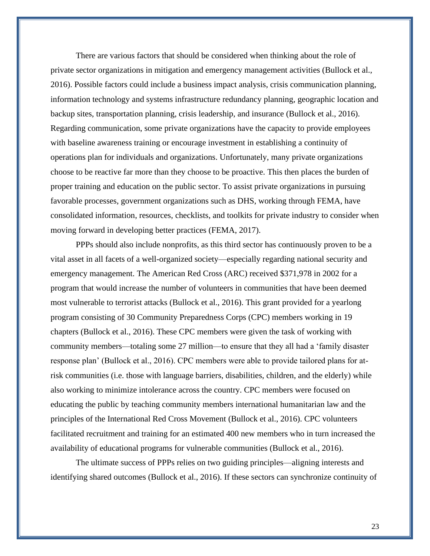There are various factors that should be considered when thinking about the role of private sector organizations in mitigation and emergency management activities (Bullock et al., 2016). Possible factors could include a business impact analysis, crisis communication planning, information technology and systems infrastructure redundancy planning, geographic location and backup sites, transportation planning, crisis leadership, and insurance (Bullock et al., 2016). Regarding communication, some private organizations have the capacity to provide employees with baseline awareness training or encourage investment in establishing a continuity of operations plan for individuals and organizations. Unfortunately, many private organizations choose to be reactive far more than they choose to be proactive. This then places the burden of proper training and education on the public sector. To assist private organizations in pursuing favorable processes, government organizations such as DHS, working through FEMA, have consolidated information, resources, checklists, and toolkits for private industry to consider when moving forward in developing better practices (FEMA, 2017).

PPPs should also include nonprofits, as this third sector has continuously proven to be a vital asset in all facets of a well-organized society—especially regarding national security and emergency management. The American Red Cross (ARC) received \$371,978 in 2002 for a program that would increase the number of volunteers in communities that have been deemed most vulnerable to terrorist attacks (Bullock et al., 2016). This grant provided for a yearlong program consisting of 30 Community Preparedness Corps (CPC) members working in 19 chapters (Bullock et al., 2016). These CPC members were given the task of working with community members—totaling some 27 million—to ensure that they all had a 'family disaster response plan' (Bullock et al., 2016). CPC members were able to provide tailored plans for atrisk communities (i.e. those with language barriers, disabilities, children, and the elderly) while also working to minimize intolerance across the country. CPC members were focused on educating the public by teaching community members international humanitarian law and the principles of the International Red Cross Movement (Bullock et al., 2016). CPC volunteers facilitated recruitment and training for an estimated 400 new members who in turn increased the availability of educational programs for vulnerable communities (Bullock et al., 2016).

The ultimate success of PPPs relies on two guiding principles—aligning interests and identifying shared outcomes (Bullock et al., 2016). If these sectors can synchronize continuity of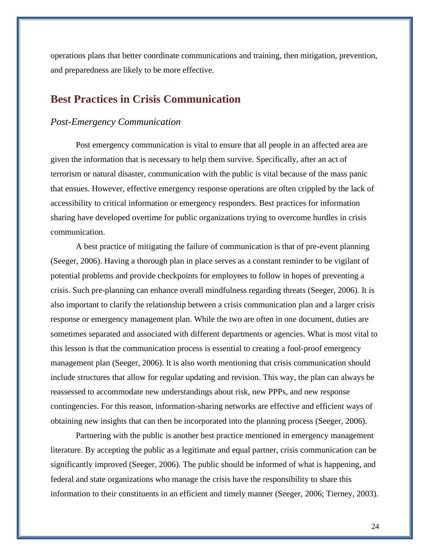operations plans that better coordinate communications and training, then mitigation, prevention, and preparedness are likely to be more effective.

#### <span id="page-23-0"></span>**Best Practices in Crisis Communication**

#### *Post-Emergency Communication*

Post emergency communication is vital to ensure that all people in an affected area are given the information that is necessary to help them survive. Specifically, after an act of terrorism or natural disaster, communication with the public is vital because of the mass panic that ensues. However, effective emergency response operations are often crippled by the lack of accessibility to critical information or emergency responders. Best practices for information sharing have developed overtime for public organizations trying to overcome hurdles in crisis communication.

A best practice of mitigating the failure of communication is that of pre-event planning (Seeger, 2006). Having a thorough plan in place serves as a constant reminder to be vigilant of potential problems and provide checkpoints for employees to follow in hopes of preventing a crisis. Such pre-planning can enhance overall mindfulness regarding threats (Seeger, 2006). It is also important to clarify the relationship between a crisis communication plan and a larger crisis response or emergency management plan. While the two are often in one document, duties are sometimes separated and associated with different departments or agencies. What is most vital to this lesson is that the communication process is essential to creating a fool-proof emergency management plan (Seeger, 2006). It is also worth mentioning that crisis communication should include structures that allow for regular updating and revision. This way, the plan can always be reassessed to accommodate new understandings about risk, new PPPs, and new response contingencies. For this reason, information-sharing networks are effective and efficient ways of obtaining new insights that can then be incorporated into the planning process (Seeger, 2006).

Partnering with the public is another best practice mentioned in emergency management literature. By accepting the public as a legitimate and equal partner, crisis communication can be significantly improved (Seeger, 2006). The public should be informed of what is happening, and federal and state organizations who manage the crisis have the responsibility to share this information to their constituents in an efficient and timely manner (Seeger, 2006; Tierney, 2003).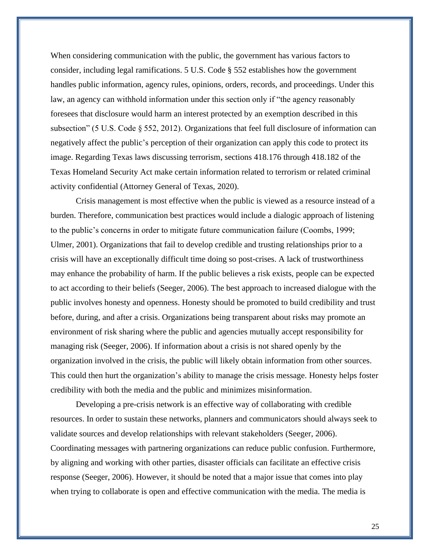When considering communication with the public, the government has various factors to consider, including legal ramifications. 5 U.S. Code § 552 establishes how the government handles public information, agency rules, opinions, orders, records, and proceedings. Under this law, an agency can withhold information under this section only if "the agency reasonably foresees that disclosure would harm an interest protected by an exemption described in this subsection" (5 U.S. Code § 552, 2012). Organizations that feel full disclosure of information can negatively affect the public's perception of their organization can apply this code to protect its image. Regarding Texas laws discussing terrorism, sections 418.176 through 418.182 of the Texas Homeland Security Act make certain information related to terrorism or related criminal activity confidential (Attorney General of Texas, 2020).

Crisis management is most effective when the public is viewed as a resource instead of a burden. Therefore, communication best practices would include a dialogic approach of listening to the public's concerns in order to mitigate future communication failure (Coombs, 1999; Ulmer, 2001). Organizations that fail to develop credible and trusting relationships prior to a crisis will have an exceptionally difficult time doing so post-crises. A lack of trustworthiness may enhance the probability of harm. If the public believes a risk exists, people can be expected to act according to their beliefs (Seeger, 2006). The best approach to increased dialogue with the public involves honesty and openness. Honesty should be promoted to build credibility and trust before, during, and after a crisis. Organizations being transparent about risks may promote an environment of risk sharing where the public and agencies mutually accept responsibility for managing risk (Seeger, 2006). If information about a crisis is not shared openly by the organization involved in the crisis, the public will likely obtain information from other sources. This could then hurt the organization's ability to manage the crisis message. Honesty helps foster credibility with both the media and the public and minimizes misinformation.

Developing a pre-crisis network is an effective way of collaborating with credible resources. In order to sustain these networks, planners and communicators should always seek to validate sources and develop relationships with relevant stakeholders (Seeger, 2006). Coordinating messages with partnering organizations can reduce public confusion. Furthermore, by aligning and working with other parties, disaster officials can facilitate an effective crisis response (Seeger, 2006). However, it should be noted that a major issue that comes into play when trying to collaborate is open and effective communication with the media. The media is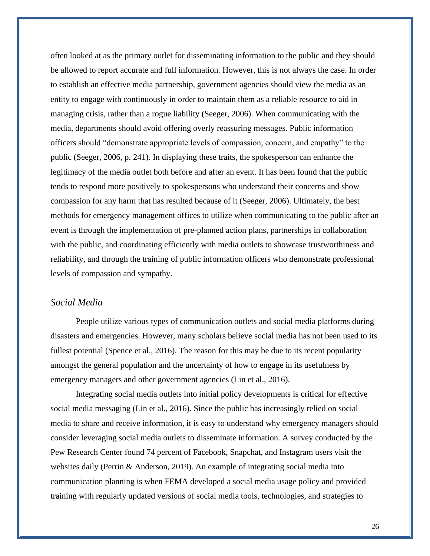often looked at as the primary outlet for disseminating information to the public and they should be allowed to report accurate and full information. However, this is not always the case. In order to establish an effective media partnership, government agencies should view the media as an entity to engage with continuously in order to maintain them as a reliable resource to aid in managing crisis, rather than a rogue liability (Seeger, 2006). When communicating with the media, departments should avoid offering overly reassuring messages. Public information officers should "demonstrate appropriate levels of compassion, concern, and empathy" to the public (Seeger, 2006, p. 241). In displaying these traits, the spokesperson can enhance the legitimacy of the media outlet both before and after an event. It has been found that the public tends to respond more positively to spokespersons who understand their concerns and show compassion for any harm that has resulted because of it (Seeger, 2006). Ultimately, the best methods for emergency management offices to utilize when communicating to the public after an event is through the implementation of pre-planned action plans, partnerships in collaboration with the public, and coordinating efficiently with media outlets to showcase trustworthiness and reliability, and through the training of public information officers who demonstrate professional levels of compassion and sympathy.

#### *Social Media*

People utilize various types of communication outlets and social media platforms during disasters and emergencies. However, many scholars believe social media has not been used to its fullest potential (Spence et al., 2016). The reason for this may be due to its recent popularity amongst the general population and the uncertainty of how to engage in its usefulness by emergency managers and other government agencies (Lin et al., 2016).

Integrating social media outlets into initial policy developments is critical for effective social media messaging (Lin et al., 2016). Since the public has increasingly relied on social media to share and receive information, it is easy to understand why emergency managers should consider leveraging social media outlets to disseminate information. A survey conducted by the Pew Research Center found 74 percent of Facebook, Snapchat, and Instagram users visit the websites daily (Perrin & Anderson, 2019). An example of integrating social media into communication planning is when FEMA developed a social media usage policy and provided training with regularly updated versions of social media tools, technologies, and strategies to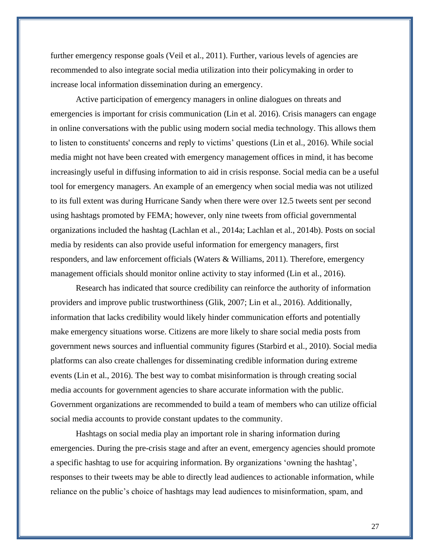further emergency response goals (Veil et al., 2011). Further, various levels of agencies are recommended to also integrate social media utilization into their policymaking in order to increase local information dissemination during an emergency.

Active participation of emergency managers in online dialogues on threats and emergencies is important for crisis communication (Lin et al. 2016). Crisis managers can engage in online conversations with the public using modern social media technology. This allows them to listen to constituents' concerns and reply to victims' questions (Lin et al., 2016). While social media might not have been created with emergency management offices in mind, it has become increasingly useful in diffusing information to aid in crisis response. Social media can be a useful tool for emergency managers. An example of an emergency when social media was not utilized to its full extent was during Hurricane Sandy when there were over 12.5 tweets sent per second using hashtags promoted by FEMA; however, only nine tweets from official governmental organizations included the hashtag (Lachlan et al., 2014a; Lachlan et al., 2014b). Posts on social media by residents can also provide useful information for emergency managers, first responders, and law enforcement officials (Waters & Williams, 2011). Therefore, emergency management officials should monitor online activity to stay informed (Lin et al., 2016).

Research has indicated that source credibility can reinforce the authority of information providers and improve public trustworthiness (Glik, 2007; Lin et al., 2016). Additionally, information that lacks credibility would likely hinder communication efforts and potentially make emergency situations worse. Citizens are more likely to share social media posts from government news sources and influential community figures (Starbird et al., 2010). Social media platforms can also create challenges for disseminating credible information during extreme events (Lin et al., 2016). The best way to combat misinformation is through creating social media accounts for government agencies to share accurate information with the public. Government organizations are recommended to build a team of members who can utilize official social media accounts to provide constant updates to the community.

Hashtags on social media play an important role in sharing information during emergencies. During the pre-crisis stage and after an event, emergency agencies should promote a specific hashtag to use for acquiring information. By organizations 'owning the hashtag', responses to their tweets may be able to directly lead audiences to actionable information, while reliance on the public's choice of hashtags may lead audiences to misinformation, spam, and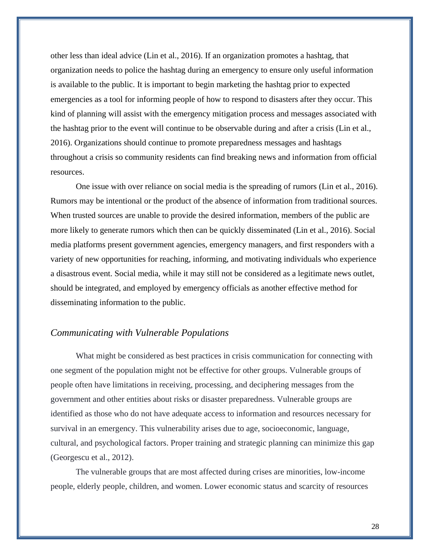other less than ideal advice (Lin et al., 2016). If an organization promotes a hashtag, that organization needs to police the hashtag during an emergency to ensure only useful information is available to the public. It is important to begin marketing the hashtag prior to expected emergencies as a tool for informing people of how to respond to disasters after they occur. This kind of planning will assist with the emergency mitigation process and messages associated with the hashtag prior to the event will continue to be observable during and after a crisis (Lin et al., 2016). Organizations should continue to promote preparedness messages and hashtags throughout a crisis so community residents can find breaking news and information from official resources.

One issue with over reliance on social media is the spreading of rumors (Lin et al., 2016). Rumors may be intentional or the product of the absence of information from traditional sources. When trusted sources are unable to provide the desired information, members of the public are more likely to generate rumors which then can be quickly disseminated (Lin et al., 2016). Social media platforms present government agencies, emergency managers, and first responders with a variety of new opportunities for reaching, informing, and motivating individuals who experience a disastrous event. Social media, while it may still not be considered as a legitimate news outlet, should be integrated, and employed by emergency officials as another effective method for disseminating information to the public.

#### *Communicating with Vulnerable Populations*

What might be considered as best practices in crisis communication for connecting with one segment of the population might not be effective for other groups. Vulnerable groups of people often have limitations in receiving, processing, and deciphering messages from the government and other entities about risks or disaster preparedness. Vulnerable groups are identified as those who do not have adequate access to information and resources necessary for survival in an emergency. This vulnerability arises due to age, socioeconomic, language, cultural, and psychological factors. Proper training and strategic planning can minimize this gap (Georgescu et al., 2012).

The vulnerable groups that are most affected during crises are minorities, low-income people, elderly people, children, and women. Lower economic status and scarcity of resources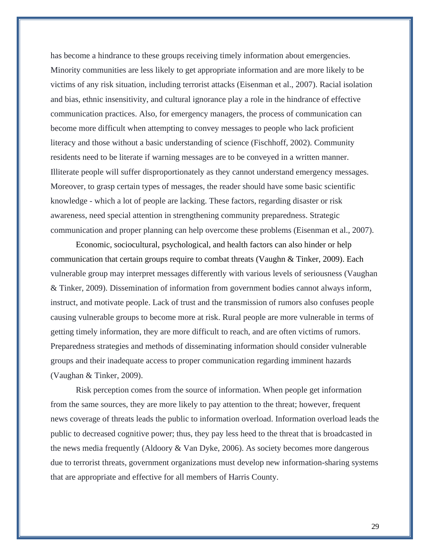has become a hindrance to these groups receiving timely information about emergencies. Minority communities are less likely to get appropriate information and are more likely to be victims of any risk situation, including terrorist attacks (Eisenman et al., 2007). Racial isolation and bias, ethnic insensitivity, and cultural ignorance play a role in the hindrance of effective communication practices. Also, for emergency managers, the process of communication can become more difficult when attempting to convey messages to people who lack proficient literacy and those without a basic understanding of science (Fischhoff, 2002). Community residents need to be literate if warning messages are to be conveyed in a written manner. Illiterate people will suffer disproportionately as they cannot understand emergency messages. Moreover, to grasp certain types of messages, the reader should have some basic scientific knowledge - which a lot of people are lacking. These factors, regarding disaster or risk awareness, need special attention in strengthening community preparedness. Strategic communication and proper planning can help overcome these problems (Eisenman et al., 2007).

Economic, sociocultural, psychological, and health factors can also hinder or help communication that certain groups require to combat threats (Vaughn & Tinker, 2009). Each vulnerable group may interpret messages differently with various levels of seriousness (Vaughan & Tinker, 2009). Dissemination of information from government bodies cannot always inform, instruct, and motivate people. Lack of trust and the transmission of rumors also confuses people causing vulnerable groups to become more at risk. Rural people are more vulnerable in terms of getting timely information, they are more difficult to reach, and are often victims of rumors. Preparedness strategies and methods of disseminating information should consider vulnerable groups and their inadequate access to proper communication regarding imminent hazards (Vaughan & Tinker, 2009).

Risk perception comes from the source of information. When people get information from the same sources, they are more likely to pay attention to the threat; however, frequent news coverage of threats leads the public to information overload. Information overload leads the public to decreased cognitive power; thus, they pay less heed to the threat that is broadcasted in the news media frequently (Aldoory & Van Dyke, 2006). As society becomes more dangerous due to terrorist threats, government organizations must develop new information-sharing systems that are appropriate and effective for all members of Harris County.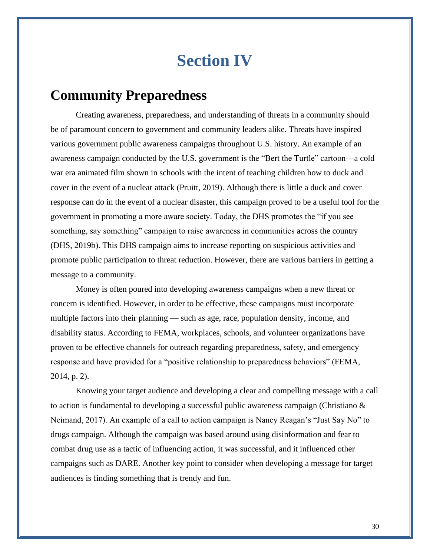# **Section IV**

## <span id="page-29-1"></span><span id="page-29-0"></span>**Community Preparedness**

Creating awareness, preparedness, and understanding of threats in a community should be of paramount concern to government and community leaders alike. Threats have inspired various government public awareness campaigns throughout U.S. history. An example of an awareness campaign conducted by the U.S. government is the "Bert the Turtle" cartoon—a cold war era animated film shown in schools with the intent of teaching children how to duck and cover in the event of a nuclear attack (Pruitt, 2019). Although there is little a duck and cover response can do in the event of a nuclear disaster, this campaign proved to be a useful tool for the government in promoting a more aware society. Today, the DHS promotes the "if you see something, say something" campaign to raise awareness in communities across the country (DHS, 2019b). This DHS campaign aims to increase reporting on suspicious activities and promote public participation to threat reduction. However, there are various barriers in getting a message to a community.

Money is often poured into developing awareness campaigns when a new threat or concern is identified. However, in order to be effective, these campaigns must incorporate multiple factors into their planning — such as age, race, population density, income, and disability status. According to FEMA, workplaces, schools, and volunteer organizations have proven to be effective channels for outreach regarding preparedness, safety, and emergency response and have provided for a "positive relationship to preparedness behaviors" (FEMA, 2014, p. 2).

Knowing your target audience and developing a clear and compelling message with a call to action is fundamental to developing a successful public awareness campaign (Christiano & Neimand, 2017). An example of a call to action campaign is Nancy Reagan's "Just Say No" to drugs campaign. Although the campaign was based around using disinformation and fear to combat drug use as a tactic of influencing action, it was successful, and it influenced other campaigns such as DARE. Another key point to consider when developing a message for target audiences is finding something that is trendy and fun.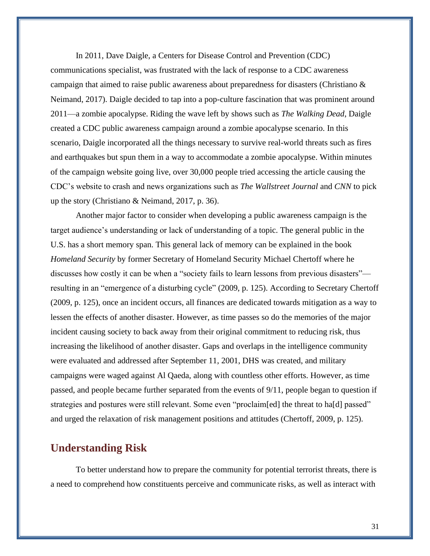In 2011, Dave Daigle, a Centers for Disease Control and Prevention (CDC) communications specialist, was frustrated with the lack of response to a CDC awareness campaign that aimed to raise public awareness about preparedness for disasters (Christiano & Neimand, 2017). Daigle decided to tap into a pop-culture fascination that was prominent around 2011—a zombie apocalypse. Riding the wave left by shows such as *The Walking Dead*, Daigle created a CDC public awareness campaign around a zombie apocalypse scenario. In this scenario, Daigle incorporated all the things necessary to survive real-world threats such as fires and earthquakes but spun them in a way to accommodate a zombie apocalypse. Within minutes of the campaign website going live, over 30,000 people tried accessing the article causing the CDC's website to crash and news organizations such as *The Wallstreet Journal* and *CNN* to pick up the story (Christiano & Neimand, 2017, p. 36).

Another major factor to consider when developing a public awareness campaign is the target audience's understanding or lack of understanding of a topic. The general public in the U.S. has a short memory span. This general lack of memory can be explained in the book *Homeland Security* by former Secretary of Homeland Security Michael Chertoff where he discusses how costly it can be when a "society fails to learn lessons from previous disasters" resulting in an "emergence of a disturbing cycle" (2009, p. 125). According to Secretary Chertoff (2009, p. 125), once an incident occurs, all finances are dedicated towards mitigation as a way to lessen the effects of another disaster. However, as time passes so do the memories of the major incident causing society to back away from their original commitment to reducing risk, thus increasing the likelihood of another disaster. Gaps and overlaps in the intelligence community were evaluated and addressed after September 11, 2001, DHS was created, and military campaigns were waged against Al Qaeda, along with countless other efforts. However, as time passed, and people became further separated from the events of 9/11, people began to question if strategies and postures were still relevant. Some even "proclaim[ed] the threat to ha[d] passed" and urged the relaxation of risk management positions and attitudes (Chertoff, 2009, p. 125).

#### <span id="page-30-0"></span>**Understanding Risk**

To better understand how to prepare the community for potential terrorist threats, there is a need to comprehend how constituents perceive and communicate risks, as well as interact with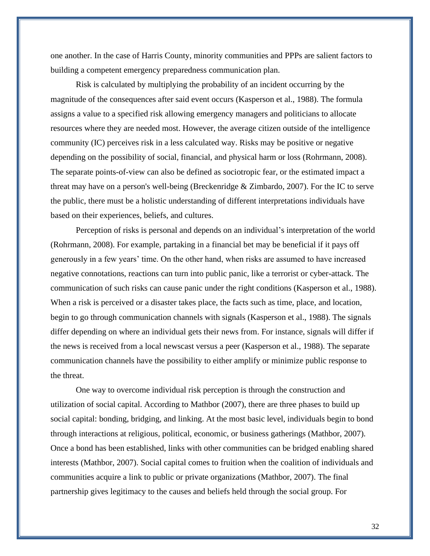one another. In the case of Harris County, minority communities and PPPs are salient factors to building a competent emergency preparedness communication plan.

 Risk is calculated by multiplying the probability of an incident occurring by the magnitude of the consequences after said event occurs (Kasperson et al., 1988). The formula assigns a value to a specified risk allowing emergency managers and politicians to allocate resources where they are needed most. However, the average citizen outside of the intelligence community (IC) perceives risk in a less calculated way. Risks may be positive or negative depending on the possibility of social, financial, and physical harm or loss (Rohrmann, 2008). The separate points-of-view can also be defined as sociotropic fear, or the estimated impact a threat may have on a person's well-being (Breckenridge & Zimbardo, 2007). For the IC to serve the public, there must be a holistic understanding of different interpretations individuals have based on their experiences, beliefs, and cultures.

Perception of risks is personal and depends on an individual's interpretation of the world (Rohrmann, 2008). For example, partaking in a financial bet may be beneficial if it pays off generously in a few years' time. On the other hand, when risks are assumed to have increased negative connotations, reactions can turn into public panic, like a terrorist or cyber-attack. The communication of such risks can cause panic under the right conditions (Kasperson et al., 1988). When a risk is perceived or a disaster takes place, the facts such as time, place, and location, begin to go through communication channels with signals (Kasperson et al., 1988). The signals differ depending on where an individual gets their news from. For instance, signals will differ if the news is received from a local newscast versus a peer (Kasperson et al., 1988). The separate communication channels have the possibility to either amplify or minimize public response to the threat.

One way to overcome individual risk perception is through the construction and utilization of social capital. According to Mathbor (2007), there are three phases to build up social capital: bonding, bridging, and linking. At the most basic level, individuals begin to bond through interactions at religious, political, economic, or business gatherings (Mathbor, 2007). Once a bond has been established, links with other communities can be bridged enabling shared interests (Mathbor, 2007). Social capital comes to fruition when the coalition of individuals and communities acquire a link to public or private organizations (Mathbor, 2007). The final partnership gives legitimacy to the causes and beliefs held through the social group. For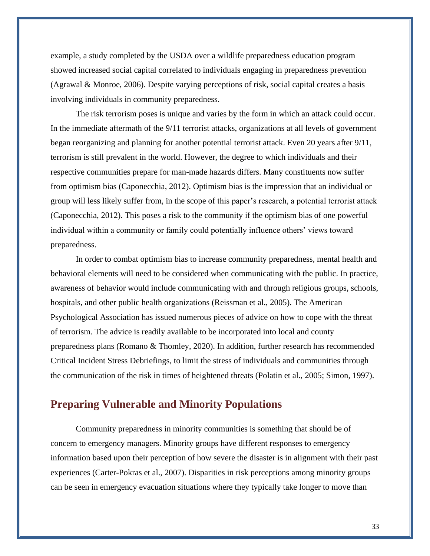example, a study completed by the USDA over a wildlife preparedness education program showed increased social capital correlated to individuals engaging in preparedness prevention (Agrawal & Monroe, 2006). Despite varying perceptions of risk, social capital creates a basis involving individuals in community preparedness.

The risk terrorism poses is unique and varies by the form in which an attack could occur. In the immediate aftermath of the 9/11 terrorist attacks, organizations at all levels of government began reorganizing and planning for another potential terrorist attack. Even 20 years after 9/11, terrorism is still prevalent in the world. However, the degree to which individuals and their respective communities prepare for man-made hazards differs. Many constituents now suffer from optimism bias (Caponecchia, 2012). Optimism bias is the impression that an individual or group will less likely suffer from, in the scope of this paper's research, a potential terrorist attack (Caponecchia, 2012). This poses a risk to the community if the optimism bias of one powerful individual within a community or family could potentially influence others' views toward preparedness.

In order to combat optimism bias to increase community preparedness, mental health and behavioral elements will need to be considered when communicating with the public. In practice, awareness of behavior would include communicating with and through religious groups, schools, hospitals, and other public health organizations (Reissman et al., 2005). The American Psychological Association has issued numerous pieces of advice on how to cope with the threat of terrorism. The advice is readily available to be incorporated into local and county preparedness plans (Romano & Thomley, 2020). In addition, further research has recommended Critical Incident Stress Debriefings, to limit the stress of individuals and communities through the communication of the risk in times of heightened threats (Polatin et al., 2005; Simon, 1997).

#### <span id="page-32-0"></span>**Preparing Vulnerable and Minority Populations**

Community preparedness in minority communities is something that should be of concern to emergency managers. Minority groups have different responses to emergency information based upon their perception of how severe the disaster is in alignment with their past experiences (Carter-Pokras et al., 2007). Disparities in risk perceptions among minority groups can be seen in emergency evacuation situations where they typically take longer to move than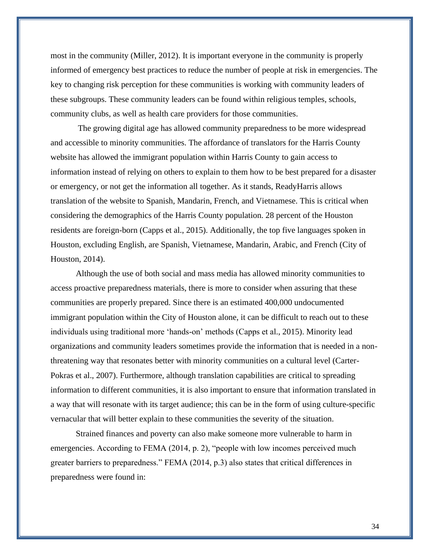most in the community (Miller, 2012). It is important everyone in the community is properly informed of emergency best practices to reduce the number of people at risk in emergencies. The key to changing risk perception for these communities is working with community leaders of these subgroups. These community leaders can be found within religious temples, schools, community clubs, as well as health care providers for those communities.

The growing digital age has allowed community preparedness to be more widespread and accessible to minority communities. The affordance of translators for the Harris County website has allowed the immigrant population within Harris County to gain access to information instead of relying on others to explain to them how to be best prepared for a disaster or emergency, or not get the information all together. As it stands, ReadyHarris allows translation of the website to Spanish, Mandarin, French, and Vietnamese. This is critical when considering the demographics of the Harris County population. 28 percent of the Houston residents are foreign-born (Capps et al., 2015). Additionally, the top five languages spoken in Houston, excluding English, are Spanish, Vietnamese, Mandarin, Arabic, and French (City of Houston, 2014).

Although the use of both social and mass media has allowed minority communities to access proactive preparedness materials, there is more to consider when assuring that these communities are properly prepared. Since there is an estimated 400,000 undocumented immigrant population within the City of Houston alone, it can be difficult to reach out to these individuals using traditional more 'hands-on' methods (Capps et al., 2015). Minority lead organizations and community leaders sometimes provide the information that is needed in a nonthreatening way that resonates better with minority communities on a cultural level (Carter-Pokras et al., 2007). Furthermore, although translation capabilities are critical to spreading information to different communities, it is also important to ensure that information translated in a way that will resonate with its target audience; this can be in the form of using culture-specific vernacular that will better explain to these communities the severity of the situation.

Strained finances and poverty can also make someone more vulnerable to harm in emergencies. According to FEMA (2014, p. 2), "people with low incomes perceived much greater barriers to preparedness." FEMA (2014, p.3) also states that critical differences in preparedness were found in: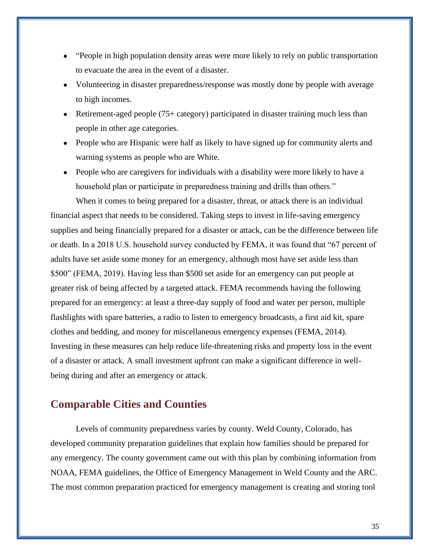- "People in high population density areas were more likely to rely on public transportation to evacuate the area in the event of a disaster.
- Volunteering in disaster preparedness/response was mostly done by people with average to high incomes.
- Retirement-aged people (75+ category) participated in disaster training much less than people in other age categories.
- People who are Hispanic were half as likely to have signed up for community alerts and warning systems as people who are White.
- People who are caregivers for individuals with a disability were more likely to have a household plan or participate in preparedness training and drills than others."

When it comes to being prepared for a disaster, threat, or attack there is an individual financial aspect that needs to be considered. Taking steps to invest in life-saving emergency supplies and being financially prepared for a disaster or attack, can be the difference between life or death. In a 2018 U.S. household survey conducted by FEMA, it was found that "67 percent of adults have set aside some money for an emergency, although most have set aside less than \$500" (FEMA, 2019). Having less than \$500 set aside for an emergency can put people at greater risk of being affected by a targeted attack. FEMA recommends having the following prepared for an emergency: at least a three-day supply of food and water per person, multiple flashlights with spare batteries, a radio to listen to emergency broadcasts, a first aid kit, spare clothes and bedding, and money for miscellaneous emergency expenses (FEMA, 2014). Investing in these measures can help reduce life-threatening risks and property loss in the event of a disaster or attack. A small investment upfront can make a significant difference in wellbeing during and after an emergency or attack.

#### <span id="page-34-0"></span>**Comparable Cities and Counties**

Levels of community preparedness varies by county. Weld County, Colorado, has developed community preparation guidelines that explain how families should be prepared for any emergency. The county government came out with this plan by combining information from NOAA, FEMA guidelines, the Office of Emergency Management in Weld County and the ARC. The most common preparation practiced for emergency management is creating and storing tool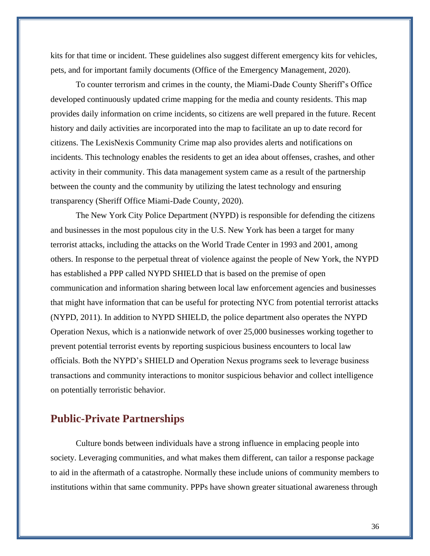kits for that time or incident. These guidelines also suggest different emergency kits for vehicles, pets, and for important family documents (Office of the Emergency Management, 2020).

To counter terrorism and crimes in the county, the Miami-Dade County Sheriff's Office developed continuously updated crime mapping for the media and county residents. This map provides daily information on crime incidents, so citizens are well prepared in the future. Recent history and daily activities are incorporated into the map to facilitate an up to date record for citizens. The LexisNexis Community Crime map also provides alerts and notifications on incidents. This technology enables the residents to get an idea about offenses, crashes, and other activity in their community. This data management system came as a result of the partnership between the county and the community by utilizing the latest technology and ensuring transparency (Sheriff Office Miami-Dade County, 2020).

The New York City Police Department (NYPD) is responsible for defending the citizens and businesses in the most populous city in the U.S. New York has been a target for many terrorist attacks, including the attacks on the World Trade Center in 1993 and 2001, among others. In response to the perpetual threat of violence against the people of New York, the NYPD has established a PPP called NYPD SHIELD that is based on the premise of open communication and information sharing between local law enforcement agencies and businesses that might have information that can be useful for protecting NYC from potential terrorist attacks (NYPD, 2011). In addition to NYPD SHIELD, the police department also operates the NYPD Operation Nexus, which is a nationwide network of over 25,000 businesses working together to prevent potential terrorist events by reporting suspicious business encounters to local law officials. Both the NYPD's SHIELD and Operation Nexus programs seek to leverage business transactions and community interactions to monitor suspicious behavior and collect intelligence on potentially terroristic behavior.

#### <span id="page-35-0"></span>**Public-Private Partnerships**

Culture bonds between individuals have a strong influence in emplacing people into society. Leveraging communities, and what makes them different, can tailor a response package to aid in the aftermath of a catastrophe. Normally these include unions of community members to institutions within that same community. PPPs have shown greater situational awareness through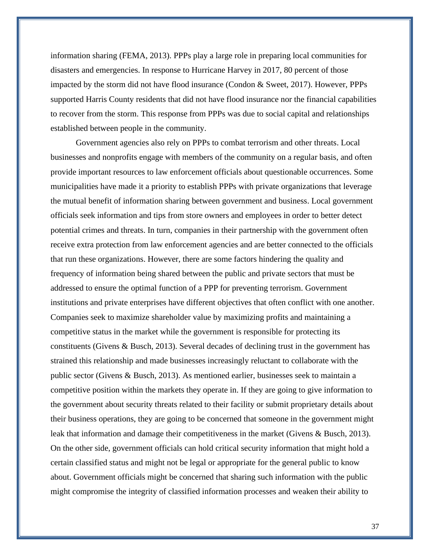information sharing (FEMA, 2013). PPPs play a large role in preparing local communities for disasters and emergencies. In response to Hurricane Harvey in 2017, 80 percent of those impacted by the storm did not have flood insurance (Condon & Sweet, 2017). However, PPPs supported Harris County residents that did not have flood insurance nor the financial capabilities to recover from the storm. This response from PPPs was due to social capital and relationships established between people in the community.

Government agencies also rely on PPPs to combat terrorism and other threats. Local businesses and nonprofits engage with members of the community on a regular basis, and often provide important resources to law enforcement officials about questionable occurrences. Some municipalities have made it a priority to establish PPPs with private organizations that leverage the mutual benefit of information sharing between government and business. Local government officials seek information and tips from store owners and employees in order to better detect potential crimes and threats. In turn, companies in their partnership with the government often receive extra protection from law enforcement agencies and are better connected to the officials that run these organizations. However, there are some factors hindering the quality and frequency of information being shared between the public and private sectors that must be addressed to ensure the optimal function of a PPP for preventing terrorism. Government institutions and private enterprises have different objectives that often conflict with one another. Companies seek to maximize shareholder value by maximizing profits and maintaining a competitive status in the market while the government is responsible for protecting its constituents (Givens & Busch, 2013). Several decades of declining trust in the government has strained this relationship and made businesses increasingly reluctant to collaborate with the public sector (Givens & Busch, 2013). As mentioned earlier, businesses seek to maintain a competitive position within the markets they operate in. If they are going to give information to the government about security threats related to their facility or submit proprietary details about their business operations, they are going to be concerned that someone in the government might leak that information and damage their competitiveness in the market (Givens & Busch, 2013). On the other side, government officials can hold critical security information that might hold a certain classified status and might not be legal or appropriate for the general public to know about. Government officials might be concerned that sharing such information with the public might compromise the integrity of classified information processes and weaken their ability to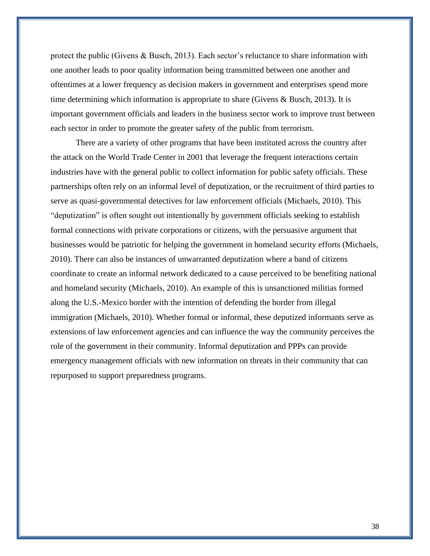protect the public (Givens & Busch, 2013). Each sector's reluctance to share information with one another leads to poor quality information being transmitted between one another and oftentimes at a lower frequency as decision makers in government and enterprises spend more time determining which information is appropriate to share (Givens & Busch, 2013). It is important government officials and leaders in the business sector work to improve trust between each sector in order to promote the greater safety of the public from terrorism.

There are a variety of other programs that have been instituted across the country after the attack on the World Trade Center in 2001 that leverage the frequent interactions certain industries have with the general public to collect information for public safety officials. These partnerships often rely on an informal level of deputization, or the recruitment of third parties to serve as quasi-governmental detectives for law enforcement officials (Michaels, 2010). This "deputization" is often sought out intentionally by government officials seeking to establish formal connections with private corporations or citizens, with the persuasive argument that businesses would be patriotic for helping the government in homeland security efforts (Michaels, 2010). There can also be instances of unwarranted deputization where a band of citizens coordinate to create an informal network dedicated to a cause perceived to be benefiting national and homeland security (Michaels, 2010). An example of this is unsanctioned militias formed along the U.S.-Mexico border with the intention of defending the border from illegal immigration (Michaels, 2010). Whether formal or informal, these deputized informants serve as extensions of law enforcement agencies and can influence the way the community perceives the role of the government in their community. Informal deputization and PPPs can provide emergency management officials with new information on threats in their community that can repurposed to support preparedness programs.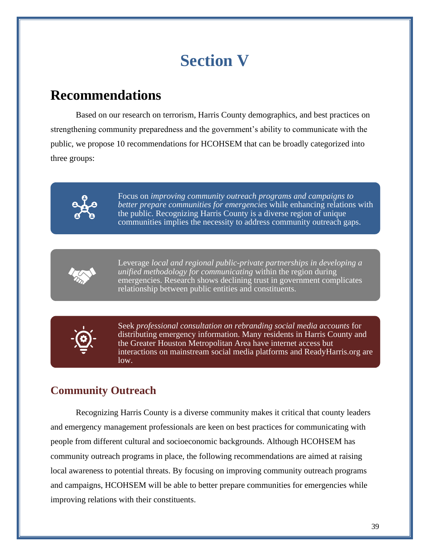# **Section V**

# <span id="page-38-1"></span><span id="page-38-0"></span>**Recommendations**

Based on our research on terrorism, Harris County demographics, and best practices on strengthening community preparedness and the government's ability to communicate with the public, we propose 10 recommendations for HCOHSEM that can be broadly categorized into three groups:



Focus on *improving community outreach programs and campaigns to better prepare communities for emergencies* while enhancing relations with the public. Recognizing Harris County is a diverse region of unique communities implies the necessity to address community outreach gaps.



Leverage *local and regional public-private partnerships in developing a unified methodology for communicating* within the region during emergencies. Research shows declining trust in government complicates relationship between public entities and constituents.



Seek *professional consultation on rebranding social media accounts* for distributing emergency information. Many residents in Harris County and the Greater Houston Metropolitan Area have internet access but interactions on mainstream social media platforms and ReadyHarris.org are low.

### <span id="page-38-2"></span>**Community Outreach**

Recognizing Harris County is a diverse community makes it critical that county leaders and emergency management professionals are keen on best practices for communicating with people from different cultural and socioeconomic backgrounds. Although HCOHSEM has community outreach programs in place, the following recommendations are aimed at raising local awareness to potential threats. By focusing on improving community outreach programs and campaigns, HCOHSEM will be able to better prepare communities for emergencies while improving relations with their constituents.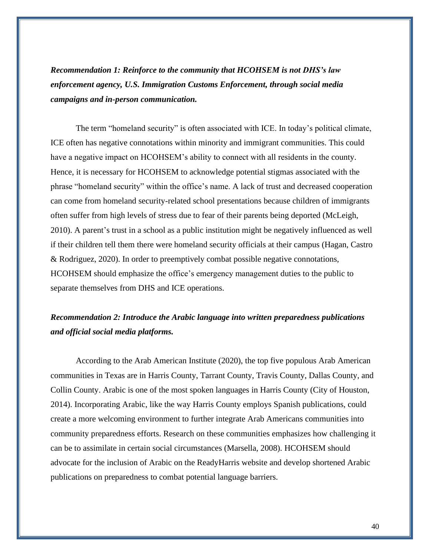*Recommendation 1: Reinforce to the community that HCOHSEM is not DHS's law enforcement agency, U.S. Immigration Customs Enforcement, through social media campaigns and in-person communication.*

The term "homeland security" is often associated with ICE. In today's political climate, ICE often has negative connotations within minority and immigrant communities. This could have a negative impact on HCOHSEM's ability to connect with all residents in the county. Hence, it is necessary for HCOHSEM to acknowledge potential stigmas associated with the phrase "homeland security" within the office's name. A lack of trust and decreased cooperation can come from homeland security-related school presentations because children of immigrants often suffer from high levels of stress due to fear of their parents being deported (McLeigh, 2010). A parent's trust in a school as a public institution might be negatively influenced as well if their children tell them there were homeland security officials at their campus (Hagan, Castro & Rodriguez, 2020). In order to preemptively combat possible negative connotations, HCOHSEM should emphasize the office's emergency management duties to the public to separate themselves from DHS and ICE operations.

#### *Recommendation 2: Introduce the Arabic language into written preparedness publications and official social media platforms.*

According to the Arab American Institute (2020), the top five populous Arab American communities in Texas are in Harris County, Tarrant County, Travis County, Dallas County, and Collin County. Arabic is one of the most spoken languages in Harris County (City of Houston, 2014). Incorporating Arabic, like the way Harris County employs Spanish publications, could create a more welcoming environment to further integrate Arab Americans communities into community preparedness efforts. Research on these communities emphasizes how challenging it can be to assimilate in certain social circumstances (Marsella, 2008). HCOHSEM should advocate for the inclusion of Arabic on the ReadyHarris website and develop shortened Arabic publications on preparedness to combat potential language barriers.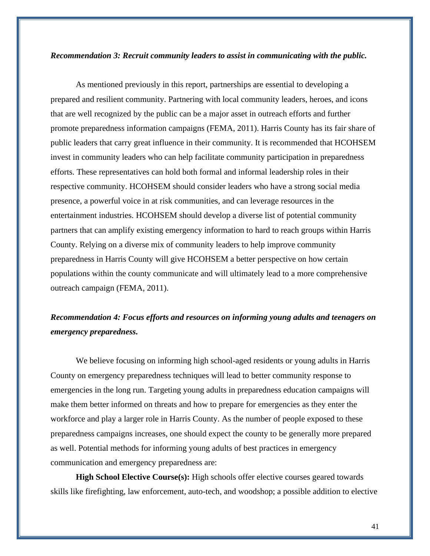#### *Recommendation 3: Recruit community leaders to assist in communicating with the public.*

As mentioned previously in this report, partnerships are essential to developing a prepared and resilient community. Partnering with local community leaders, heroes, and icons that are well recognized by the public can be a major asset in outreach efforts and further promote preparedness information campaigns (FEMA, 2011). Harris County has its fair share of public leaders that carry great influence in their community. It is recommended that HCOHSEM invest in community leaders who can help facilitate community participation in preparedness efforts. These representatives can hold both formal and informal leadership roles in their respective community. HCOHSEM should consider leaders who have a strong social media presence, a powerful voice in at risk communities, and can leverage resources in the entertainment industries. HCOHSEM should develop a diverse list of potential community partners that can amplify existing emergency information to hard to reach groups within Harris County. Relying on a diverse mix of community leaders to help improve community preparedness in Harris County will give HCOHSEM a better perspective on how certain populations within the county communicate and will ultimately lead to a more comprehensive outreach campaign (FEMA, 2011).

#### *Recommendation 4: Focus efforts and resources on informing young adults and teenagers on emergency preparedness.*

We believe focusing on informing high school-aged residents or young adults in Harris County on emergency preparedness techniques will lead to better community response to emergencies in the long run. Targeting young adults in preparedness education campaigns will make them better informed on threats and how to prepare for emergencies as they enter the workforce and play a larger role in Harris County. As the number of people exposed to these preparedness campaigns increases, one should expect the county to be generally more prepared as well. Potential methods for informing young adults of best practices in emergency communication and emergency preparedness are:

**High School Elective Course(s):** High schools offer elective courses geared towards skills like firefighting, law enforcement, auto-tech, and woodshop; a possible addition to elective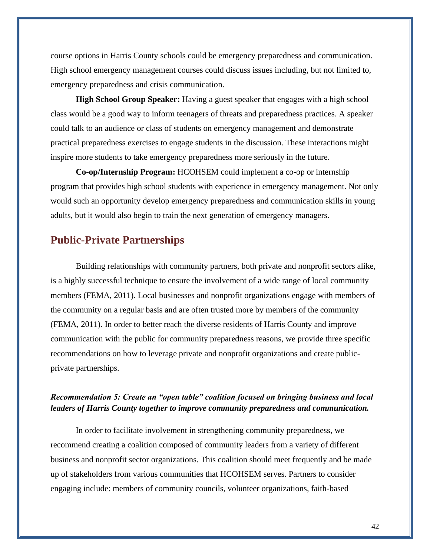course options in Harris County schools could be emergency preparedness and communication. High school emergency management courses could discuss issues including, but not limited to, emergency preparedness and crisis communication.

**High School Group Speaker:** Having a guest speaker that engages with a high school class would be a good way to inform teenagers of threats and preparedness practices. A speaker could talk to an audience or class of students on emergency management and demonstrate practical preparedness exercises to engage students in the discussion. These interactions might inspire more students to take emergency preparedness more seriously in the future.

**Co-op/Internship Program:** HCOHSEM could implement a co-op or internship program that provides high school students with experience in emergency management. Not only would such an opportunity develop emergency preparedness and communication skills in young adults, but it would also begin to train the next generation of emergency managers.

#### <span id="page-41-0"></span>**Public-Private Partnerships**

Building relationships with community partners, both private and nonprofit sectors alike, is a highly successful technique to ensure the involvement of a wide range of local community members (FEMA, 2011). Local businesses and nonprofit organizations engage with members of the community on a regular basis and are often trusted more by members of the community (FEMA, 2011). In order to better reach the diverse residents of Harris County and improve communication with the public for community preparedness reasons, we provide three specific recommendations on how to leverage private and nonprofit organizations and create publicprivate partnerships.

#### *Recommendation 5: Create an "open table" coalition focused on bringing business and local leaders of Harris County together to improve community preparedness and communication.*

In order to facilitate involvement in strengthening community preparedness, we recommend creating a coalition composed of community leaders from a variety of different business and nonprofit sector organizations. This coalition should meet frequently and be made up of stakeholders from various communities that HCOHSEM serves. Partners to consider engaging include: members of community councils, volunteer organizations, faith-based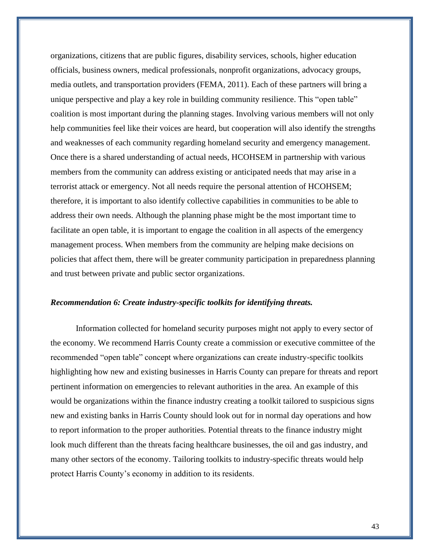organizations, citizens that are public figures, disability services, schools, higher education officials, business owners, medical professionals, nonprofit organizations, advocacy groups, media outlets, and transportation providers (FEMA, 2011). Each of these partners will bring a unique perspective and play a key role in building community resilience. This "open table" coalition is most important during the planning stages. Involving various members will not only help communities feel like their voices are heard, but cooperation will also identify the strengths and weaknesses of each community regarding homeland security and emergency management. Once there is a shared understanding of actual needs, HCOHSEM in partnership with various members from the community can address existing or anticipated needs that may arise in a terrorist attack or emergency. Not all needs require the personal attention of HCOHSEM; therefore, it is important to also identify collective capabilities in communities to be able to address their own needs. Although the planning phase might be the most important time to facilitate an open table, it is important to engage the coalition in all aspects of the emergency management process. When members from the community are helping make decisions on policies that affect them, there will be greater community participation in preparedness planning and trust between private and public sector organizations.

#### *Recommendation 6: Create industry-specific toolkits for identifying threats.*

Information collected for homeland security purposes might not apply to every sector of the economy. We recommend Harris County create a commission or executive committee of the recommended "open table" concept where organizations can create industry-specific toolkits highlighting how new and existing businesses in Harris County can prepare for threats and report pertinent information on emergencies to relevant authorities in the area. An example of this would be organizations within the finance industry creating a toolkit tailored to suspicious signs new and existing banks in Harris County should look out for in normal day operations and how to report information to the proper authorities. Potential threats to the finance industry might look much different than the threats facing healthcare businesses, the oil and gas industry, and many other sectors of the economy. Tailoring toolkits to industry-specific threats would help protect Harris County's economy in addition to its residents.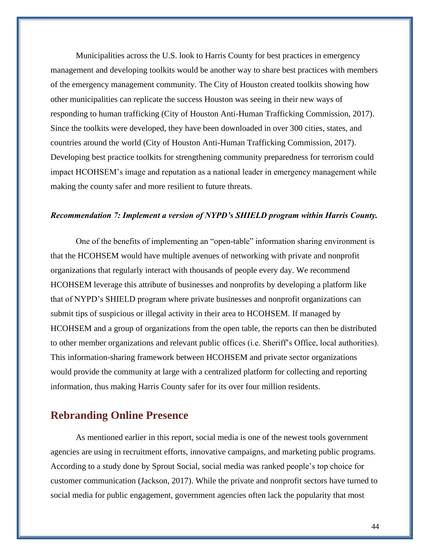Municipalities across the U.S. look to Harris County for best practices in emergency management and developing toolkits would be another way to share best practices with members of the emergency management community. The City of Houston created toolkits showing how other municipalities can replicate the success Houston was seeing in their new ways of responding to human trafficking (City of Houston Anti-Human Trafficking Commission, 2017). Since the toolkits were developed, they have been downloaded in over 300 cities, states, and countries around the world (City of Houston Anti-Human Trafficking Commission, 2017). Developing best practice toolkits for strengthening community preparedness for terrorism could impact HCOHSEM's image and reputation as a national leader in emergency management while making the county safer and more resilient to future threats.

#### *Recommendation 7: Implement a version of NYPD's SHIELD program within Harris County.*

 One of the benefits of implementing an "open-table" information sharing environment is that the HCOHSEM would have multiple avenues of networking with private and nonprofit organizations that regularly interact with thousands of people every day. We recommend HCOHSEM leverage this attribute of businesses and nonprofits by developing a platform like that of NYPD's SHIELD program where private businesses and nonprofit organizations can submit tips of suspicious or illegal activity in their area to HCOHSEM. If managed by HCOHSEM and a group of organizations from the open table, the reports can then be distributed to other member organizations and relevant public offices (i.e. Sheriff's Office, local authorities). This information-sharing framework between HCOHSEM and private sector organizations would provide the community at large with a centralized platform for collecting and reporting information, thus making Harris County safer for its over four million residents.

#### <span id="page-43-0"></span>**Rebranding Online Presence**

As mentioned earlier in this report, social media is one of the newest tools government agencies are using in recruitment efforts, innovative campaigns, and marketing public programs. According to a study done by Sprout Social, social media was ranked people's top choice for customer communication (Jackson, 2017). While the private and nonprofit sectors have turned to social media for public engagement, government agencies often lack the popularity that most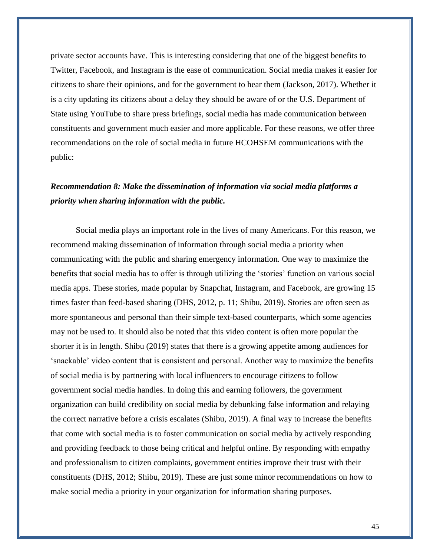private sector accounts have. This is interesting considering that one of the biggest benefits to Twitter, Facebook, and Instagram is the ease of communication. Social media makes it easier for citizens to share their opinions, and for the government to hear them (Jackson, 2017). Whether it is a city updating its citizens about a delay they should be aware of or the U.S. Department of State using YouTube to share press briefings, social media has made communication between constituents and government much easier and more applicable. For these reasons, we offer three recommendations on the role of social media in future HCOHSEM communications with the public:

#### *Recommendation 8: Make the dissemination of information via social media platforms a priority when sharing information with the public.*

Social media plays an important role in the lives of many Americans. For this reason, we recommend making dissemination of information through social media a priority when communicating with the public and sharing emergency information. One way to maximize the benefits that social media has to offer is through utilizing the 'stories' function on various social media apps. These stories, made popular by Snapchat, Instagram, and Facebook, are growing 15 times faster than feed-based sharing (DHS, 2012, p. 11; Shibu, 2019). Stories are often seen as more spontaneous and personal than their simple text-based counterparts, which some agencies may not be used to. It should also be noted that this video content is often more popular the shorter it is in length. Shibu (2019) states that there is a growing appetite among audiences for 'snackable' video content that is consistent and personal. Another way to maximize the benefits of social media is by partnering with local influencers to encourage citizens to follow government social media handles. In doing this and earning followers, the government organization can build credibility on social media by debunking false information and relaying the correct narrative before a crisis escalates (Shibu, 2019). A final way to increase the benefits that come with social media is to foster communication on social media by actively responding and providing feedback to those being critical and helpful online. By responding with empathy and professionalism to citizen complaints, government entities improve their trust with their constituents (DHS, 2012; Shibu, 2019). These are just some minor recommendations on how to make social media a priority in your organization for information sharing purposes.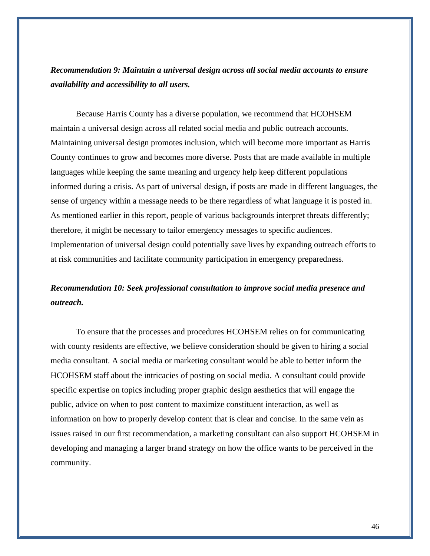*Recommendation 9: Maintain a universal design across all social media accounts to ensure availability and accessibility to all users.*

Because Harris County has a diverse population, we recommend that HCOHSEM maintain a universal design across all related social media and public outreach accounts. Maintaining universal design promotes inclusion, which will become more important as Harris County continues to grow and becomes more diverse. Posts that are made available in multiple languages while keeping the same meaning and urgency help keep different populations informed during a crisis. As part of universal design, if posts are made in different languages, the sense of urgency within a message needs to be there regardless of what language it is posted in. As mentioned earlier in this report, people of various backgrounds interpret threats differently; therefore, it might be necessary to tailor emergency messages to specific audiences. Implementation of universal design could potentially save lives by expanding outreach efforts to at risk communities and facilitate community participation in emergency preparedness.

#### *Recommendation 10: Seek professional consultation to improve social media presence and outreach.*

To ensure that the processes and procedures HCOHSEM relies on for communicating with county residents are effective, we believe consideration should be given to hiring a social media consultant. A social media or marketing consultant would be able to better inform the HCOHSEM staff about the intricacies of posting on social media. A consultant could provide specific expertise on topics including proper graphic design aesthetics that will engage the public, advice on when to post content to maximize constituent interaction, as well as information on how to properly develop content that is clear and concise. In the same vein as issues raised in our first recommendation, a marketing consultant can also support HCOHSEM in developing and managing a larger brand strategy on how the office wants to be perceived in the community.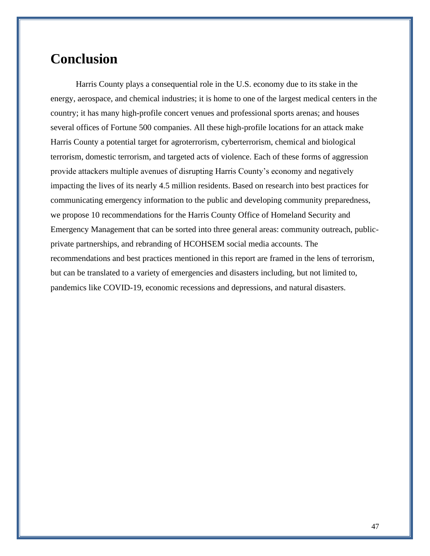## <span id="page-46-0"></span>**Conclusion**

Harris County plays a consequential role in the U.S. economy due to its stake in the energy, aerospace, and chemical industries; it is home to one of the largest medical centers in the country; it has many high-profile concert venues and professional sports arenas; and houses several offices of Fortune 500 companies. All these high-profile locations for an attack make Harris County a potential target for agroterrorism, cyberterrorism, chemical and biological terrorism, domestic terrorism, and targeted acts of violence. Each of these forms of aggression provide attackers multiple avenues of disrupting Harris County's economy and negatively impacting the lives of its nearly 4.5 million residents. Based on research into best practices for communicating emergency information to the public and developing community preparedness, we propose 10 recommendations for the Harris County Office of Homeland Security and Emergency Management that can be sorted into three general areas: community outreach, publicprivate partnerships, and rebranding of HCOHSEM social media accounts. The recommendations and best practices mentioned in this report are framed in the lens of terrorism, but can be translated to a variety of emergencies and disasters including, but not limited to, pandemics like COVID-19, economic recessions and depressions, and natural disasters.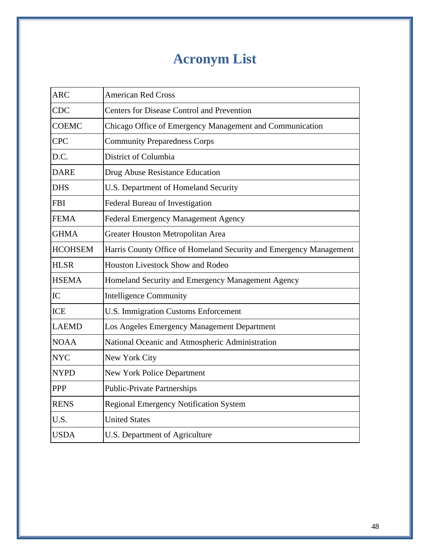# **Acronym List**

<span id="page-47-0"></span>

| <b>ARC</b>     | <b>American Red Cross</b>                                          |
|----------------|--------------------------------------------------------------------|
| <b>CDC</b>     | <b>Centers for Disease Control and Prevention</b>                  |
| <b>COEMC</b>   | Chicago Office of Emergency Management and Communication           |
| <b>CPC</b>     | <b>Community Preparedness Corps</b>                                |
| D.C.           | District of Columbia                                               |
| <b>DARE</b>    | Drug Abuse Resistance Education                                    |
| <b>DHS</b>     | U.S. Department of Homeland Security                               |
| <b>FBI</b>     | Federal Bureau of Investigation                                    |
| <b>FEMA</b>    | Federal Emergency Management Agency                                |
| <b>GHMA</b>    | Greater Houston Metropolitan Area                                  |
| <b>HCOHSEM</b> | Harris County Office of Homeland Security and Emergency Management |
| <b>HLSR</b>    | <b>Houston Livestock Show and Rodeo</b>                            |
| <b>HSEMA</b>   | Homeland Security and Emergency Management Agency                  |
| IC             | <b>Intelligence Community</b>                                      |
| <b>ICE</b>     | U.S. Immigration Customs Enforcement                               |
| <b>LAEMD</b>   | Los Angeles Emergency Management Department                        |
| <b>NOAA</b>    | National Oceanic and Atmospheric Administration                    |
| <b>NYC</b>     | New York City                                                      |
| <b>NYPD</b>    | New York Police Department                                         |
| <b>PPP</b>     | <b>Public-Private Partnerships</b>                                 |
| <b>RENS</b>    | <b>Regional Emergency Notification System</b>                      |
| U.S.           | <b>United States</b>                                               |
| <b>USDA</b>    | U.S. Department of Agriculture                                     |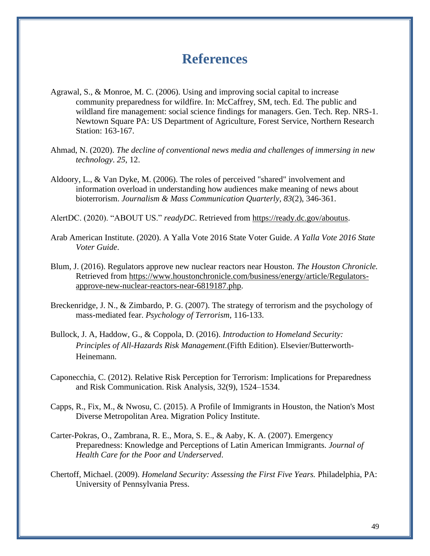## **References**

- <span id="page-48-0"></span>Agrawal, S., & Monroe, M. C. (2006). Using and improving social capital to increase community preparedness for wildfire. In: McCaffrey, SM, tech. Ed. The public and wildland fire management: social science findings for managers. Gen. Tech. Rep. NRS-1. Newtown Square PA: US Department of Agriculture, Forest Service, Northern Research Station: 163-167.
- Ahmad, N. (2020). *The decline of conventional news media and challenges of immersing in new technology*. *25*, 12.
- Aldoory, L., & Van Dyke, M. (2006). The roles of perceived "shared" involvement and information overload in understanding how audiences make meaning of news about bioterrorism. *Journalism & Mass Communication Quarterly, 83*(2), 346-361.

AlertDC. (2020). "ABOUT US." *readyDC*. Retrieved from [https://ready.dc.gov/aboutus.](https://ready.dc.gov/aboutus)

- Arab American Institute. (2020). A Yalla Vote 2016 State Voter Guide. *A Yalla Vote 2016 State Voter Guide*.
- Blum, J. (2016). Regulators approve new nuclear reactors near Houston. *The Houston Chronicle.*  Retrieved from [https://www.houstonchronicle.com/business/energy/article/Regulators](https://www.houstonchronicle.com/business/energy/article/Regulators-approve-new-nuclear-reactors-near-6819187.php)[approve-new-nuclear-reactors-near-6819187.php.](https://www.houstonchronicle.com/business/energy/article/Regulators-approve-new-nuclear-reactors-near-6819187.php)
- Breckenridge, J. N., & Zimbardo, P. G. (2007). The strategy of terrorism and the psychology of mass-mediated fear. *Psychology of Terrorism*, 116-133.
- Bullock, J. A, Haddow, G., & Coppola, D. (2016). *Introduction to Homeland Security: Principles of All-Hazards Risk Management.*(Fifth Edition). Elsevier/Butterworth-Heinemann.
- Caponecchia, C. (2012). Relative Risk Perception for Terrorism: Implications for Preparedness and Risk Communication. Risk Analysis, 32(9), 1524–1534.
- Capps, R., Fix, M., & Nwosu, C. (2015). A Profile of Immigrants in Houston, the Nation's Most Diverse Metropolitan Area. Migration Policy Institute.
- Carter-Pokras, O., Zambrana, R. E., Mora, S. E., & Aaby, K. A. (2007). Emergency Preparedness: Knowledge and Perceptions of Latin American Immigrants. *Journal of Health Care for the Poor and Underserved*.
- Chertoff, Michael. (2009). *Homeland Security: Assessing the First Five Years.* Philadelphia, PA: University of Pennsylvania Press.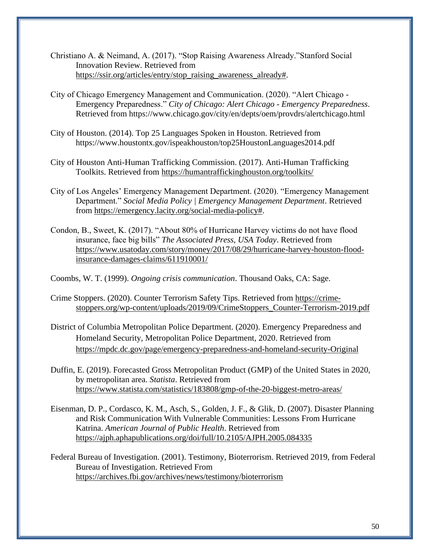- Christiano A. & Neimand, A. (2017). "Stop Raising Awareness Already."Stanford Social Innovation Review. Retrieved from [https://ssir.org/articles/entry/stop\\_raising\\_awareness\\_already#.](https://ssir.org/articles/entry/stop_raising_awareness_already)
- City of Chicago Emergency Management and Communication. (2020). "Alert Chicago Emergency Preparedness." *City of Chicago: Alert Chicago - Emergency Preparedness*. Retrieved from https://www.chicago.gov/city/en/depts/oem/provdrs/alertchicago.html
- City of Houston. (2014). Top 25 Languages Spoken in Houston. Retrieved from https://www.houstontx.gov/ispeakhouston/top25HoustonLanguages2014.pdf
- City of Houston Anti-Human Trafficking Commission. (2017). Anti-Human Trafficking Toolkits. Retrieved from<https://humantraffickinghouston.org/toolkits/>
- City of Los Angeles' Emergency Management Department. (2020). "Emergency Management Department." *Social Media Policy | Emergency Management Department*. Retrieved from [https://emergency.lacity.org/social-media-policy#.](https://emergency.lacity.org/social-media-policy)
- Condon, B., Sweet, K. (2017). "About 80% of Hurricane Harvey victims do not have flood insurance, face big bills" *The Associated Press, USA Today*. Retrieved from [https://www.usatoday.com/story/money/2017/08/29/hurricane-harvey-houston-flood](https://www.usatoday.com/story/money/2017/08/29/hurricane-harvey-houston-flood-insurance-damages-claims/611910001/)[insurance-damages-claims/611910001/](https://www.usatoday.com/story/money/2017/08/29/hurricane-harvey-houston-flood-insurance-damages-claims/611910001/)

Coombs, W. T. (1999). *Ongoing crisis communication*. Thousand Oaks, CA: Sage.

- Crime Stoppers. (2020). Counter Terrorism Safety Tips. Retrieved fro[m](https://crime-stoppers.org/wp-content/uploads/2019/09/CrimeStoppers_Counter-Terrorism-2019.pdf) [https://crime](https://crime-stoppers.org/wp-content/uploads/2019/09/CrimeStoppers_Counter-Terrorism-2019.pdf)[stoppers.org/wp-content/uploads/2019/09/CrimeStoppers\\_Counter-Terrorism-2019.pdf](https://crime-stoppers.org/wp-content/uploads/2019/09/CrimeStoppers_Counter-Terrorism-2019.pdf)
- District of Columbia Metropolitan Police Department. (2020). Emergency Preparedness and Homeland Security, Metropolitan Police Department, 2020. Retrieved from <https://mpdc.dc.gov/page/emergency-preparedness-and-homeland-security-Original>
- Duffin, E. (2019). Forecasted Gross Metropolitan Product (GMP) of the United States in 2020, by metropolitan area. *Statista*. [Retrieved from](https://www.statista.com/statistics/183808/gmp-of-the-20-biggest-metro-areas/)  <https://www.statista.com/statistics/183808/gmp-of-the-20-biggest-metro-areas/>
- Eisenman, D. P., Cordasco, K. M., Asch, S., Golden, J. F., & Glik, D. (2007). Disaster Planning and Risk Communication With Vulnerable Communities: Lessons From Hurricane Katrina. *American Journal of Public Health*. Retrieved from <https://ajph.aphapublications.org/doi/full/10.2105/AJPH.2005.084335>
- Federal Bureau of Investigation. (2001). Testimony, Bioterrorism. Retrieved 2019, from Federal Bureau of Investigation. Retrieved From https://archives.fbi.gov/archives/news/testimony/bioterrorism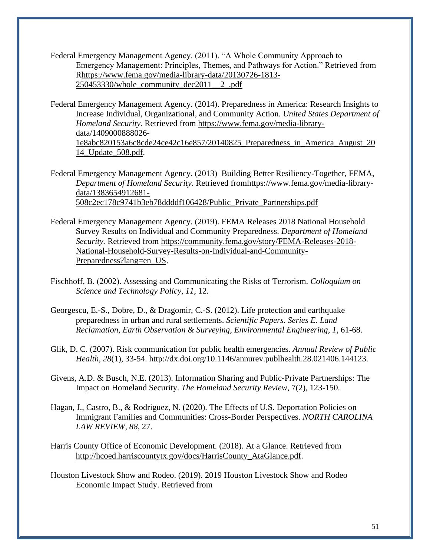- Federal Emergency Management Agency. (2011). "A Whole Community Approach to Emergency Management: Principles, Themes, and Pathways for Action." Retrieved from Rhttps://www.fema.gov/media-library-data/20130726-1813- 250453330/whole\_community\_dec2011\_\_2\_.pdf
- Federal Emergency Management Agency. (2014). Preparedness in America: Research Insights to Increase Individual, Organizational, and Community Action. *United States Department of Homeland Security.* Retrieved from [https://www.fema.gov/media-library](https://www.fema.gov/media-library-data/1409000888026-1e8abc820153a6c8cde24ce42c16e857/20140825_Preparedness_in_America_August_2014_Update_508.pdf)[data/1409000888026-](https://www.fema.gov/media-library-data/1409000888026-1e8abc820153a6c8cde24ce42c16e857/20140825_Preparedness_in_America_August_2014_Update_508.pdf) [1e8abc820153a6c8cde24ce42c16e857/20140825\\_Preparedness\\_in\\_America\\_August\\_20](https://www.fema.gov/media-library-data/1409000888026-1e8abc820153a6c8cde24ce42c16e857/20140825_Preparedness_in_America_August_2014_Update_508.pdf) [14\\_Update\\_508.pdf.](https://www.fema.gov/media-library-data/1409000888026-1e8abc820153a6c8cde24ce42c16e857/20140825_Preparedness_in_America_August_2014_Update_508.pdf)
- Federal Emergency Management Agency. (2013) Building Better Resiliency-Together, FEMA, *Department of Homeland Security*. Retrieved fro[mhttps://www.fema.gov/media-library](https://www.fema.gov/media-library-data/1383654912681-508c2ec178c9741b3eb78ddddf106428/Public_Private_Partnerships.pdf)[data/1383654912681-](https://www.fema.gov/media-library-data/1383654912681-508c2ec178c9741b3eb78ddddf106428/Public_Private_Partnerships.pdf) [508c2ec178c9741b3eb78ddddf106428/Public\\_Private\\_Partnerships.pdf](https://www.fema.gov/media-library-data/1383654912681-508c2ec178c9741b3eb78ddddf106428/Public_Private_Partnerships.pdf)
- Federal Emergency Management Agency. (2019). FEMA Releases 2018 National Household Survey Results on Individual and Community Preparedness. *Department of Homeland Security.* Retrieved from [https://community.fema.gov/story/FEMA-Releases-2018-](https://community.fema.gov/story/FEMA-Releases-2018-National-Household-Survey-Results-on-Individual-and-Community-Preparedness?lang=en_US) [National-Household-Survey-Results-on-Individual-and-Community-](https://community.fema.gov/story/FEMA-Releases-2018-National-Household-Survey-Results-on-Individual-and-Community-Preparedness?lang=en_US)[Preparedness?lang=en\\_US.](https://community.fema.gov/story/FEMA-Releases-2018-National-Household-Survey-Results-on-Individual-and-Community-Preparedness?lang=en_US)
- Fischhoff, B. (2002). Assessing and Communicating the Risks of Terrorism. *Colloquium on Science and Technology Policy, 11*, 12.
- Georgescu, E.-S., Dobre, D., & Dragomir, C.-S. (2012). Life protection and earthquake preparedness in urban and rural settlements. *Scientific Papers. Series E. Land Reclamation, Earth Observation & Surveying, Environmental Engineering, 1*, 61-68.
- Glik, D. C. (2007). Risk communication for public health emergencies. *Annual Review of Public Health, 28*(1), 33-54. http://dx.doi.org/10.1146/annurev.publhealth.28.021406.144123.
- Givens, A.D. & Busch, N.E. (2013). Information Sharing and Public-Private Partnerships: The Impact on Homeland Security. *The Homeland Security Review*, 7(2), 123-150.
- Hagan, J., Castro, B., & Rodriguez, N. (2020). The Effects of U.S. Deportation Policies on Immigrant Families and Communities: Cross-Border Perspectives. *NORTH CAROLINA LAW REVIEW*, *88*, 27.
- Harris County Office of Economic Development. (2018). At a Glance. Retrieved from [http://hcoed.harriscountytx.gov/docs/HarrisCounty\\_AtaGlance.pdf.](http://hcoed.harriscountytx.gov/docs/HarrisCounty_AtaGlance.pdf)
- Houston Livestock Show and Rodeo. (2019). 2019 Houston Livestock Show and Rodeo Economic Impact Study. Retrieved from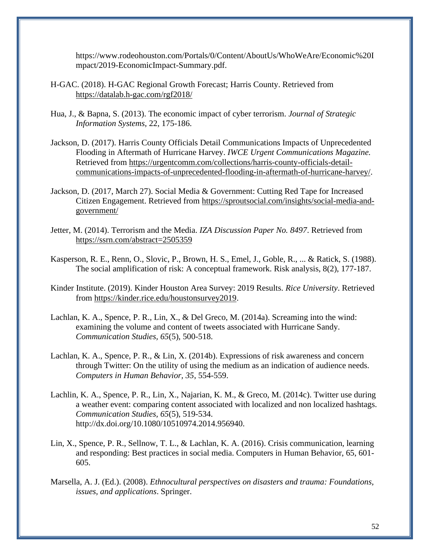https://www.rodeohouston.com/Portals/0/Content/AboutUs/WhoWeAre/Economic%20I mpact/2019-EconomicImpact-Summary.pdf.

- H-GAC. (2018). H-GAC Regional Growth Forecast; Harris County. Retrieved from <https://datalab.h-gac.com/rgf2018/>
- Hua, J., & Bapna, S. (2013). The economic impact of cyber terrorism. *Journal of Strategic Information Systems*, 22, 175-186.
- Jackson, D. (2017). Harris County Officials Detail Communications Impacts of Unprecedented Flooding in Aftermath of Hurricane Harvey. *IWCE Urgent Communications Magazine.*  Retrieved from [https://urgentcomm.com/collections/harris-county-officials-detail](https://urgentcomm.com/collections/harris-county-officials-detail-communications-impacts-of-unprecedented-flooding-in-aftermath-of-hurricane-harvey/)[communications-impacts-of-unprecedented-flooding-in-aftermath-of-hurricane-harvey/.](https://urgentcomm.com/collections/harris-county-officials-detail-communications-impacts-of-unprecedented-flooding-in-aftermath-of-hurricane-harvey/)
- Jackson, D. (2017, March 27). Social Media & Government: Cutting Red Tape for Increased Citizen Engagement. Retrieved from [https://sproutsocial.com/insights/social-media-and](https://sproutsocial.com/insights/social-media-and-government/)[government/](https://sproutsocial.com/insights/social-media-and-government/)
- Jetter, M. (2014). Terrorism and the Media. *IZA Discussion Paper No. 8497*. Retrieved fro[m](https://ssrn.com/abstract=2505359) <https://ssrn.com/abstract=2505359>
- Kasperson, R. E., Renn, O., Slovic, P., Brown, H. S., Emel, J., Goble, R., ... & Ratick, S. (1988). The social amplification of risk: A conceptual framework. Risk analysis, 8(2), 177-187.
- Kinder Institute. (2019). Kinder Houston Area Survey: 2019 Results. *Rice University*. Retrieved from [https://kinder.rice.edu/houstonsurvey2019.](https://kinder.rice.edu/houstonsurvey2019)
- Lachlan, K. A., Spence, P. R., Lin, X., & Del Greco, M. (2014a). Screaming into the wind: examining the volume and content of tweets associated with Hurricane Sandy. *Communication Studies, 65*(5), 500-518.
- Lachlan, K. A., Spence, P. R., & Lin, X. (2014b). Expressions of risk awareness and concern through Twitter: On the utility of using the medium as an indication of audience needs. *Computers in Human Behavior, 35*, 554-559.
- Lachlin, K. A., Spence, P. R., Lin, X., Najarian, K. M., & Greco, M. (2014c). Twitter use during a weather event: comparing content associated with localized and non localized hashtags. *Communication Studies, 65*(5), 519-534. http://dx.doi.org/10.1080/10510974.2014.956940.
- Lin, X., Spence, P. R., Sellnow, T. L., & Lachlan, K. A. (2016). Crisis communication, learning and responding: Best practices in social media. Computers in Human Behavior, 65, 601- 605.
- Marsella, A. J. (Ed.). (2008). *Ethnocultural perspectives on disasters and trauma: Foundations, issues, and applications*. Springer.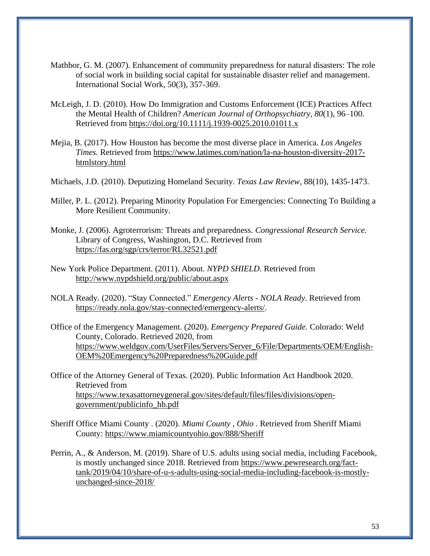- Mathbor, G. M. (2007). Enhancement of community preparedness for natural disasters: The role of social work in building social capital for sustainable disaster relief and management. International Social Work, 50(3), 357-369.
- McLeigh, J. D. (2010). How Do Immigration and Customs Enforcement (ICE) Practices Affect the Mental Health of Children? *American Journal of Orthopsychiatry*, *80*(1), 96–100[.](https://doi.org/10.1111/j.1939-0025.2010.01011.x) [Retrieved from https://doi.org/10.1111/j.1939-0025.2010.01011.x](https://doi.org/10.1111/j.1939-0025.2010.01011.x)
- Mejia, B. (2017). How Houston has become the most diverse place in America. *Los Angeles Times.* Retrieved from [https://www.latimes.com/nation/la-na-houston-diversity-2017](https://www.latimes.com/nation/la-na-houston-diversity-2017-htmlstory.html) [htmlstory.html](https://www.latimes.com/nation/la-na-houston-diversity-2017-htmlstory.html)
- Michaels, J.D. (2010). Deputizing Homeland Security. *Texas Law Review*, 88(10), 1435-1473.
- Miller, P. L. (2012). Preparing Minority Population For Emergencies: Connecting To Building a More Resilient Community.
- Monke, J. (2006). Agroterrorism: Threats and preparedness. *Congressional Research Service.*  Library of Congress, Washington, D.C. Retrieved from <https://fas.org/sgp/crs/terror/RL32521.pdf>
- New York Police Department. (2011). About. *NYPD SHIELD*. Retrieved from <http://www.nypdshield.org/public/about.aspx>
- NOLA Ready. (2020). "Stay Connected." *Emergency Alerts - NOLA Ready*. Retrieved from [https://ready.nola.gov/stay-connected/emergency-alerts/.](https://ready.nola.gov/stay-connected/emergency-alerts/)
- Office of the Emergency Management. (2020). *Emergency Prepared Guide.* Colorado: Weld County, Colorado. Retrieved 2020, from [https://www.weldgov.com/UserFiles/Servers/Server\\_6/File/Departments/OEM/English-](https://www.weldgov.com/UserFiles/Servers/Server_6/File/Departments/OEM/English-OEM%20Emergency%20Preparedness%20Guide.pdf)[OEM%20Emergency%20Preparedness%20Guide.pdf](https://www.weldgov.com/UserFiles/Servers/Server_6/File/Departments/OEM/English-OEM%20Emergency%20Preparedness%20Guide.pdf)
- Office of the Attorney General of Texas. (2020). Public Information Act Handbook 2020. Retrieved from [https://www.texasattorneygeneral.gov/sites/default/files/files/divisions/open](https://www.texasattorneygeneral.gov/sites/default/files/files/divisions/open-government/publicinfo_hb.pdf)[government/publicinfo\\_hb.pdf](https://www.texasattorneygeneral.gov/sites/default/files/files/divisions/open-government/publicinfo_hb.pdf)
- Sheriff Office Miami County . (2020). *Miami County , Ohio* . Retrieved from Sheriff Miami County:<https://www.miamicountyohio.gov/888/Sheriff>
- Perrin, A., & Anderson, M. (2019). Share of U.S. adults using social media, including Facebook, is mostly unchanged since 2018. Retrieved from [https://www.pewresearch.org/fact](https://www.pewresearch.org/fact-tank/2019/04/10/share-of-u-s-adults-using-social-media-including-facebook-is-mostly-unchanged-since-2018/)[tank/2019/04/10/share-of-u-s-adults-using-social-media-including-facebook-is-mostly](https://www.pewresearch.org/fact-tank/2019/04/10/share-of-u-s-adults-using-social-media-including-facebook-is-mostly-unchanged-since-2018/)[unchanged-since-2018/](https://www.pewresearch.org/fact-tank/2019/04/10/share-of-u-s-adults-using-social-media-including-facebook-is-mostly-unchanged-since-2018/)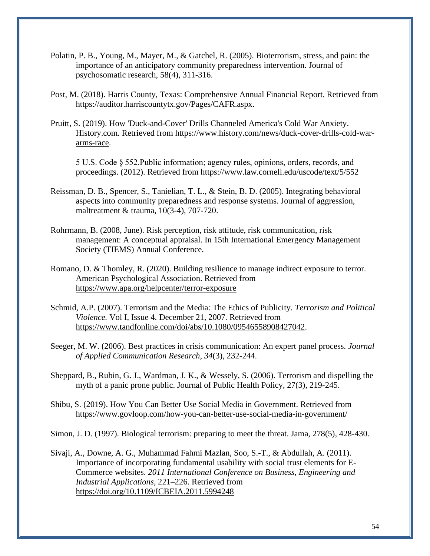- Polatin, P. B., Young, M., Mayer, M., & Gatchel, R. (2005). Bioterrorism, stress, and pain: the importance of an anticipatory community preparedness intervention. Journal of psychosomatic research, 58(4), 311-316.
- Post, M. (2018). Harris County, Texas: Comprehensive Annual Financial Report. Retrieved from [https://auditor.harriscountytx.gov/Pages/CAFR.aspx.](https://auditor.harriscountytx.gov/Pages/CAFR.aspx)
- Pruitt, S. (2019). How 'Duck-and-Cover' Drills Channeled America's Cold War Anxiety. History.com. Retrieved from [https://www.history.com/news/duck-cover-drills-cold-war](https://www.history.com/news/duck-cover-drills-cold-war-arms-race)[arms-race.](https://www.history.com/news/duck-cover-drills-cold-war-arms-race)

5 U.S. Code § 552.Public information; agency rules, opinions, orders, records, and proceedings. (2012). Retrieved from<https://www.law.cornell.edu/uscode/text/5/552>

- Reissman, D. B., Spencer, S., Tanielian, T. L., & Stein, B. D. (2005). Integrating behavioral aspects into community preparedness and response systems. Journal of aggression, maltreatment & trauma, 10(3-4), 707-720.
- Rohrmann, B. (2008, June). Risk perception, risk attitude, risk communication, risk management: A conceptual appraisal. In 15th International Emergency Management Society (TIEMS) Annual Conference.
- Romano, D. & Thomley, R. (2020). Building resilience to manage indirect exposure to terror. American Psychological Association. Retrieved from <https://www.apa.org/helpcenter/terror-exposure>
- Schmid, A.P. (2007). Terrorism and the Media: The Ethics of Publicity. *Terrorism and Political Violence.* Vol I, Issue 4. December 21, 2007. Retrieved from [https://www.tandfonline.com/doi/abs/10.1080/09546558908427042.](https://www.tandfonline.com/doi/abs/10.1080/09546558908427042)
- Seeger, M. W. (2006). Best practices in crisis communication: An expert panel process. *Journal of Applied Communication Research*, *34*(3), 232-244.
- Sheppard, B., Rubin, G. J., Wardman, J. K., & Wessely, S. (2006). Terrorism and dispelling the myth of a panic prone public. Journal of Public Health Policy, 27(3), 219-245.
- Shibu, S. (2019). How You Can Better Use Social Media in Government. Retrieved from <https://www.govloop.com/how-you-can-better-use-social-media-in-government/>

Simon, J. D. (1997). Biological terrorism: preparing to meet the threat. Jama, 278(5), 428-430.

Sivaji, A., Downe, A. G., Muhammad Fahmi Mazlan, Soo, S.-T., & Abdullah, A. (2011). Importance of incorporating fundamental usability with social trust elements for E-Commerce websites. *2011 International Conference on Business, Engineering and Industrial Applications*, 221–226. [Retrieved from](https://doi.org/10.1109/ICBEIA.2011.5994248)  <https://doi.org/10.1109/ICBEIA.2011.5994248>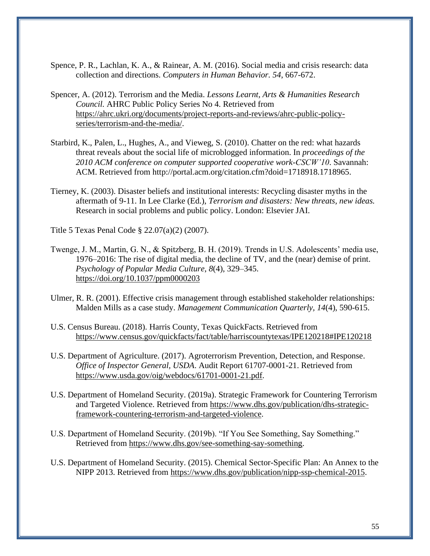- Spence, P. R., Lachlan, K. A., & Rainear, A. M. (2016). Social media and crisis research: data collection and directions. *Computers in Human Behavior. 54*, 667-672.
- Spencer, A. (2012). Terrorism and the Media. *Lessons Learnt, Arts & Humanities Research Council.* AHRC Public Policy Series No 4. Retrieved from [https://ahrc.ukri.org/documents/project-reports-and-reviews/ahrc-public-policy](https://ahrc.ukri.org/documents/project-reports-and-reviews/ahrc-public-policy-series/terrorism-and-the-media/)[series/terrorism-and-the-media/.](https://ahrc.ukri.org/documents/project-reports-and-reviews/ahrc-public-policy-series/terrorism-and-the-media/)
- Starbird, K., Palen, L., Hughes, A., and Vieweg, S. (2010). Chatter on the red: what hazards threat reveals about the social life of microblogged information. In *proceedings of the 2010 ACM conference on computer supported cooperative work-CSCW'10*. Savannah: ACM. Retrieved from http://portal.acm.org/citation.cfm?doid=1718918.1718965.
- Tierney, K. (2003). Disaster beliefs and institutional interests: Recycling disaster myths in the aftermath of 9-11. In Lee Clarke (Ed.), *Terrorism and disasters: New threats, new ideas.*  Research in social problems and public policy. London: Elsevier JAI.
- Title 5 Texas Penal Code § 22.07(a)(2) (2007).
- Twenge, J. M., Martin, G. N., & Spitzberg, B. H. (2019). Trends in U.S. Adolescents' media use, 1976–2016: The rise of digital media, the decline of TV, and the (near) demise of print. *Psychology of Popular Media Culture*, *8*(4), 329–345[.](https://doi.org/10.1037/ppm0000203) <https://doi.org/10.1037/ppm0000203>
- Ulmer, R. R. (2001). Effective crisis management through established stakeholder relationships: Malden Mills as a case study. *Management Communication Quarterly, 14*(4), 590-615.
- U.S. Census Bureau. (2018). Harris County, Texas QuickFacts. Retrieved from <https://www.census.gov/quickfacts/fact/table/harriscountytexas/IPE120218#IPE120218>
- U.S. Department of Agriculture. (2017). Agroterrorism Prevention, Detection, and Response. *Office of Inspector General, USDA*. Audit Report 61707-0001-21. Retrieved from [https://www.usda.gov/oig/webdocs/61701-0001-21.pdf.](https://www.usda.gov/oig/webdocs/61701-0001-21.pdf)
- U.S. Department of Homeland Security. (2019a). Strategic Framework for Countering Terrorism and Targeted Violence. Retrieved from [https://www.dhs.gov/publication/dhs-strategic](https://www.dhs.gov/publication/dhs-strategic-framework-countering-terrorism-and-targeted-violence)[framework-countering-terrorism-and-targeted-violence.](https://www.dhs.gov/publication/dhs-strategic-framework-countering-terrorism-and-targeted-violence)
- U.S. Department of Homeland Security. (2019b). "If You See Something, Say Something." Retrieved from [https://www.dhs.gov/see-something-say-something.](https://www.dhs.gov/see-something-say-something)
- U.S. Department of Homeland Security. (2015). Chemical Sector-Specific Plan: An Annex to the NIPP 2013. Retrieved from [https://www.dhs.gov/publication/nipp-ssp-chemical-2015.](https://www.dhs.gov/publication/nipp-ssp-chemical-2015)